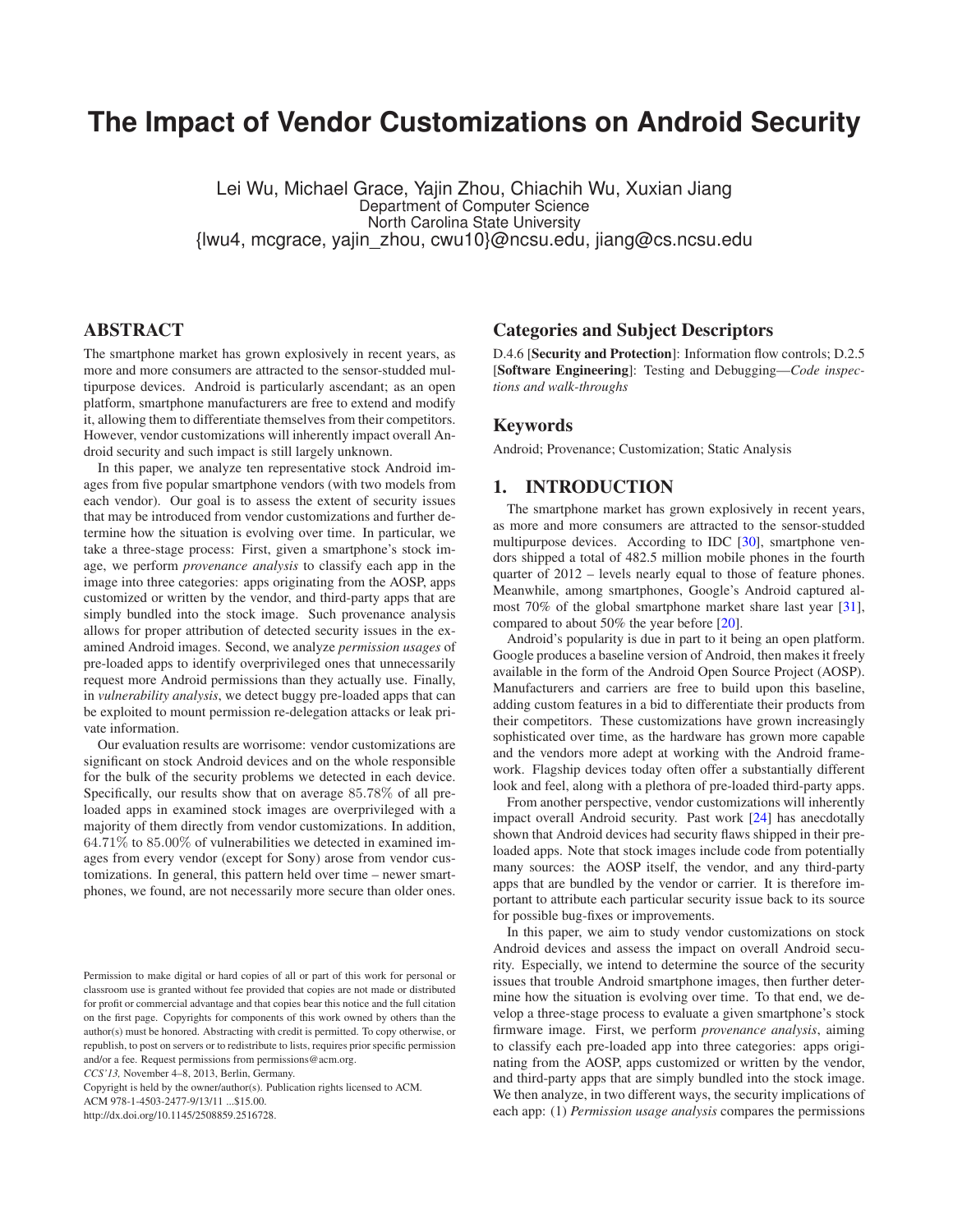# **The Impact of Vendor Customizations on Android Security**

Lei Wu, Michael Grace, Yajin Zhou, Chiachih Wu, Xuxian Jiang Department of Computer Science North Carolina State University {lwu4, mcgrace, yajin\_zhou, cwu10}@ncsu.edu, jiang@cs.ncsu.edu

## ABSTRACT

The smartphone market has grown explosively in recent years, as more and more consumers are attracted to the sensor-studded multipurpose devices. Android is particularly ascendant; as an open platform, smartphone manufacturers are free to extend and modify it, allowing them to differentiate themselves from their competitors. However, vendor customizations will inherently impact overall Android security and such impact is still largely unknown.

In this paper, we analyze ten representative stock Android images from five popular smartphone vendors (with two models from each vendor). Our goal is to assess the extent of security issues that may be introduced from vendor customizations and further determine how the situation is evolving over time. In particular, we take a three-stage process: First, given a smartphone's stock image, we perform *provenance analysis* to classify each app in the image into three categories: apps originating from the AOSP, apps customized or written by the vendor, and third-party apps that are simply bundled into the stock image. Such provenance analysis allows for proper attribution of detected security issues in the examined Android images. Second, we analyze *permission usages* of pre-loaded apps to identify overprivileged ones that unnecessarily request more Android permissions than they actually use. Finally, in *vulnerability analysis*, we detect buggy pre-loaded apps that can be exploited to mount permission re-delegation attacks or leak private information.

Our evaluation results are worrisome: vendor customizations are significant on stock Android devices and on the whole responsible for the bulk of the security problems we detected in each device. Specifically, our results show that on average 85.78% of all preloaded apps in examined stock images are overprivileged with a majority of them directly from vendor customizations. In addition, 64.71% to 85.00% of vulnerabilities we detected in examined images from every vendor (except for Sony) arose from vendor customizations. In general, this pattern held over time – newer smartphones, we found, are not necessarily more secure than older ones.

*CCS'13,* November 4–8, 2013, Berlin, Germany.

Copyright is held by the owner/author(s). Publication rights licensed to ACM.

ACM 978-1-4503-2477-9/13/11 ...\$15.00.

http://dx.doi.org/10.1145/2508859.2516728.

## Categories and Subject Descriptors

D.4.6 [Security and Protection]: Information flow controls; D.2.5 [Software Engineering]: Testing and Debugging—*Code inspections and walk-throughs*

#### Keywords

Android; Provenance; Customization; Static Analysis

## 1. INTRODUCTION

The smartphone market has grown explosively in recent years, as more and more consumers are attracted to the sensor-studded multipurpose devices. According to IDC [\[30\]](#page-10-0), smartphone vendors shipped a total of 482.5 million mobile phones in the fourth quarter of 2012 – levels nearly equal to those of feature phones. Meanwhile, among smartphones, Google's Android captured almost 70% of the global smartphone market share last year [\[31\]](#page-11-0), compared to about 50% the year before [\[20\]](#page-10-1).

Android's popularity is due in part to it being an open platform. Google produces a baseline version of Android, then makes it freely available in the form of the Android Open Source Project (AOSP). Manufacturers and carriers are free to build upon this baseline, adding custom features in a bid to differentiate their products from their competitors. These customizations have grown increasingly sophisticated over time, as the hardware has grown more capable and the vendors more adept at working with the Android framework. Flagship devices today often offer a substantially different look and feel, along with a plethora of pre-loaded third-party apps.

From another perspective, vendor customizations will inherently impact overall Android security. Past work [\[24\]](#page-10-2) has anecdotally shown that Android devices had security flaws shipped in their preloaded apps. Note that stock images include code from potentially many sources: the AOSP itself, the vendor, and any third-party apps that are bundled by the vendor or carrier. It is therefore important to attribute each particular security issue back to its source for possible bug-fixes or improvements.

In this paper, we aim to study vendor customizations on stock Android devices and assess the impact on overall Android security. Especially, we intend to determine the source of the security issues that trouble Android smartphone images, then further determine how the situation is evolving over time. To that end, we develop a three-stage process to evaluate a given smartphone's stock firmware image. First, we perform *provenance analysis*, aiming to classify each pre-loaded app into three categories: apps originating from the AOSP, apps customized or written by the vendor, and third-party apps that are simply bundled into the stock image. We then analyze, in two different ways, the security implications of each app: (1) *Permission usage analysis* compares the permissions

Permission to make digital or hard copies of all or part of this work for personal or classroom use is granted without fee provided that copies are not made or distributed for profit or commercial advantage and that copies bear this notice and the full citation on the first page. Copyrights for components of this work owned by others than the author(s) must be honored. Abstracting with credit is permitted. To copy otherwise, or republish, to post on servers or to redistribute to lists, requires prior specific permission and/or a fee. Request permissions from permissions@acm.org.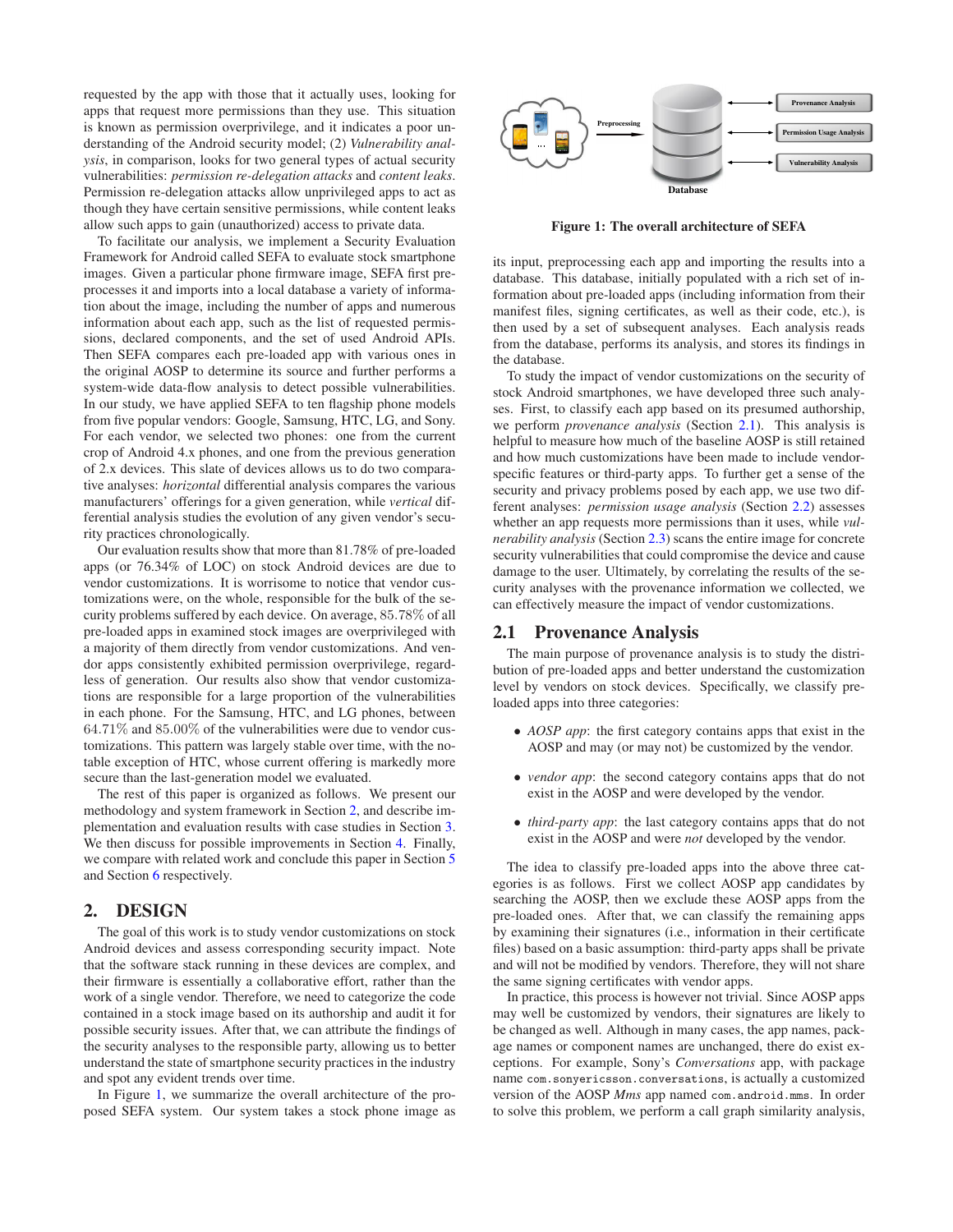requested by the app with those that it actually uses, looking for apps that request more permissions than they use. This situation is known as permission overprivilege, and it indicates a poor understanding of the Android security model; (2) *Vulnerability analysis*, in comparison, looks for two general types of actual security vulnerabilities: *permission re-delegation attacks* and *content leaks*. Permission re-delegation attacks allow unprivileged apps to act as though they have certain sensitive permissions, while content leaks allow such apps to gain (unauthorized) access to private data.

To facilitate our analysis, we implement a Security Evaluation Framework for Android called SEFA to evaluate stock smartphone images. Given a particular phone firmware image, SEFA first preprocesses it and imports into a local database a variety of information about the image, including the number of apps and numerous information about each app, such as the list of requested permissions, declared components, and the set of used Android APIs. Then SEFA compares each pre-loaded app with various ones in the original AOSP to determine its source and further performs a system-wide data-flow analysis to detect possible vulnerabilities. In our study, we have applied SEFA to ten flagship phone models from five popular vendors: Google, Samsung, HTC, LG, and Sony. For each vendor, we selected two phones: one from the current crop of Android 4.x phones, and one from the previous generation of 2.x devices. This slate of devices allows us to do two comparative analyses: *horizontal* differential analysis compares the various manufacturers' offerings for a given generation, while *vertical* differential analysis studies the evolution of any given vendor's security practices chronologically.

Our evaluation results show that more than 81.78% of pre-loaded apps (or 76.34% of LOC) on stock Android devices are due to vendor customizations. It is worrisome to notice that vendor customizations were, on the whole, responsible for the bulk of the security problems suffered by each device. On average, 85.78% of all pre-loaded apps in examined stock images are overprivileged with a majority of them directly from vendor customizations. And vendor apps consistently exhibited permission overprivilege, regardless of generation. Our results also show that vendor customizations are responsible for a large proportion of the vulnerabilities in each phone. For the Samsung, HTC, and LG phones, between 64.71% and 85.00% of the vulnerabilities were due to vendor customizations. This pattern was largely stable over time, with the notable exception of HTC, whose current offering is markedly more secure than the last-generation model we evaluated.

The rest of this paper is organized as follows. We present our methodology and system framework in Section [2,](#page-1-0) and describe implementation and evaluation results with case studies in Section [3.](#page-4-0) We then discuss for possible improvements in Section [4.](#page-8-0) Finally, we compare with related work and conclude this paper in Section [5](#page-9-0) and Section [6](#page-10-3) respectively.

## <span id="page-1-0"></span>2. DESIGN

The goal of this work is to study vendor customizations on stock Android devices and assess corresponding security impact. Note that the software stack running in these devices are complex, and their firmware is essentially a collaborative effort, rather than the work of a single vendor. Therefore, we need to categorize the code contained in a stock image based on its authorship and audit it for possible security issues. After that, we can attribute the findings of the security analyses to the responsible party, allowing us to better understand the state of smartphone security practices in the industry and spot any evident trends over time.

In Figure [1,](#page-1-1) we summarize the overall architecture of the proposed SEFA system. Our system takes a stock phone image as



<span id="page-1-1"></span>Figure 1: The overall architecture of SEFA

its input, preprocessing each app and importing the results into a database. This database, initially populated with a rich set of information about pre-loaded apps (including information from their manifest files, signing certificates, as well as their code, etc.), is then used by a set of subsequent analyses. Each analysis reads from the database, performs its analysis, and stores its findings in the database.

To study the impact of vendor customizations on the security of stock Android smartphones, we have developed three such analyses. First, to classify each app based on its presumed authorship, we perform *provenance analysis* (Section [2.1\)](#page-1-2). This analysis is helpful to measure how much of the baseline AOSP is still retained and how much customizations have been made to include vendorspecific features or third-party apps. To further get a sense of the security and privacy problems posed by each app, we use two different analyses: *permission usage analysis* (Section [2.2\)](#page-2-0) assesses whether an app requests more permissions than it uses, while *vulnerability analysis* (Section [2.3\)](#page-3-0) scans the entire image for concrete security vulnerabilities that could compromise the device and cause damage to the user. Ultimately, by correlating the results of the security analyses with the provenance information we collected, we can effectively measure the impact of vendor customizations.

## <span id="page-1-2"></span>2.1 Provenance Analysis

The main purpose of provenance analysis is to study the distribution of pre-loaded apps and better understand the customization level by vendors on stock devices. Specifically, we classify preloaded apps into three categories:

- *AOSP app*: the first category contains apps that exist in the AOSP and may (or may not) be customized by the vendor.
- *vendor app*: the second category contains apps that do not exist in the AOSP and were developed by the vendor.
- *third-party app*: the last category contains apps that do not exist in the AOSP and were *not* developed by the vendor.

The idea to classify pre-loaded apps into the above three categories is as follows. First we collect AOSP app candidates by searching the AOSP, then we exclude these AOSP apps from the pre-loaded ones. After that, we can classify the remaining apps by examining their signatures (i.e., information in their certificate files) based on a basic assumption: third-party apps shall be private and will not be modified by vendors. Therefore, they will not share the same signing certificates with vendor apps.

In practice, this process is however not trivial. Since AOSP apps may well be customized by vendors, their signatures are likely to be changed as well. Although in many cases, the app names, package names or component names are unchanged, there do exist exceptions. For example, Sony's *Conversations* app, with package name com.sonyericsson.conversations, is actually a customized version of the AOSP *Mms* app named com.android.mms. In order to solve this problem, we perform a call graph similarity analysis,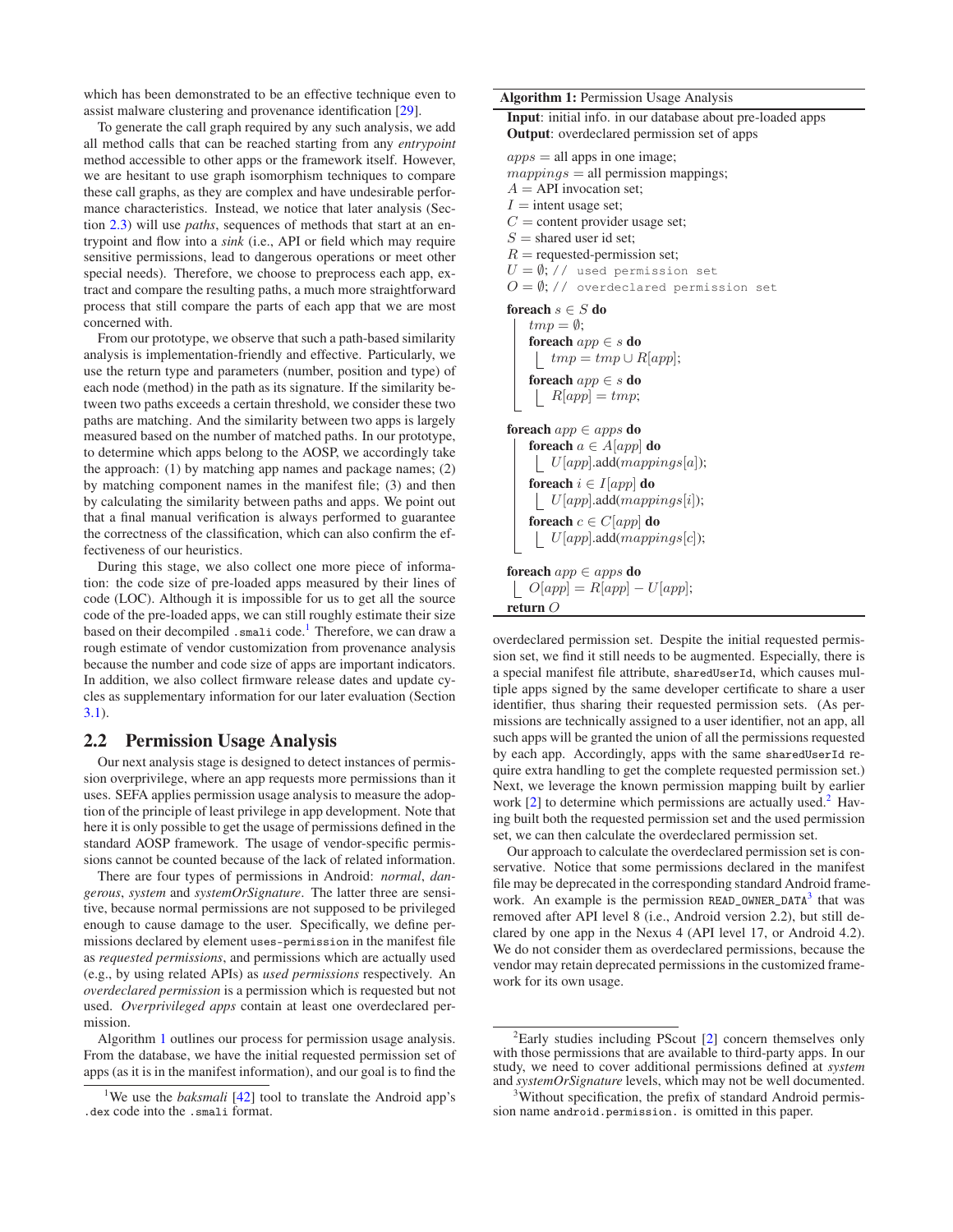which has been demonstrated to be an effective technique even to assist malware clustering and provenance identification [\[29\]](#page-10-4).

To generate the call graph required by any such analysis, we add all method calls that can be reached starting from any *entrypoint* method accessible to other apps or the framework itself. However, we are hesitant to use graph isomorphism techniques to compare these call graphs, as they are complex and have undesirable performance characteristics. Instead, we notice that later analysis (Section [2.3\)](#page-3-0) will use *paths*, sequences of methods that start at an entrypoint and flow into a *sink* (i.e., API or field which may require sensitive permissions, lead to dangerous operations or meet other special needs). Therefore, we choose to preprocess each app, extract and compare the resulting paths, a much more straightforward process that still compare the parts of each app that we are most concerned with.

From our prototype, we observe that such a path-based similarity analysis is implementation-friendly and effective. Particularly, we use the return type and parameters (number, position and type) of each node (method) in the path as its signature. If the similarity between two paths exceeds a certain threshold, we consider these two paths are matching. And the similarity between two apps is largely measured based on the number of matched paths. In our prototype, to determine which apps belong to the AOSP, we accordingly take the approach: (1) by matching app names and package names; (2) by matching component names in the manifest file; (3) and then by calculating the similarity between paths and apps. We point out that a final manual verification is always performed to guarantee the correctness of the classification, which can also confirm the effectiveness of our heuristics.

During this stage, we also collect one more piece of information: the code size of pre-loaded apps measured by their lines of code (LOC). Although it is impossible for us to get all the source code of the pre-loaded apps, we can still roughly estimate their size based on their decompiled . smali code.<sup>1</sup> Therefore, we can draw a rough estimate of vendor customization from provenance analysis because the number and code size of apps are important indicators. In addition, we also collect firmware release dates and update cycles as supplementary information for our later evaluation (Section [3.1\)](#page-4-1).

#### <span id="page-2-0"></span>2.2 Permission Usage Analysis

Our next analysis stage is designed to detect instances of permission overprivilege, where an app requests more permissions than it uses. SEFA applies permission usage analysis to measure the adoption of the principle of least privilege in app development. Note that here it is only possible to get the usage of permissions defined in the standard AOSP framework. The usage of vendor-specific permissions cannot be counted because of the lack of related information.

There are four types of permissions in Android: *normal*, *dangerous*, *system* and *systemOrSignature*. The latter three are sensitive, because normal permissions are not supposed to be privileged enough to cause damage to the user. Specifically, we define permissions declared by element uses-permission in the manifest file as *requested permissions*, and permissions which are actually used (e.g., by using related APIs) as *used permissions* respectively. An *overdeclared permission* is a permission which is requested but not used. *Overprivileged apps* contain at least one overdeclared permission.

Algorithm [1](#page-2-1) outlines our process for permission usage analysis. From the database, we have the initial requested permission set of apps (as it is in the manifest information), and our goal is to find the Algorithm 1: Permission Usage Analysis

```
Input: initial info. in our database about pre-loaded apps
Output: overdeclared permission set of apps
apps = all apps in one image;
mappings = all permission mappings;
A = API invocation set;
I =intent usage set;
C = content provider usage set;
S = shared user id set;
R = requested-permission set;
U = \emptyset; // used permission set
O = \emptyset; // overdeclared permission set
foreach s \in S do
   tmp = \emptyset;foreach app \in sdo
     tmp = tmp \cup R[app];foreach app \in s do
       R[app] = tmp;foreach app \in apps do
   foreach a \in A[app] do
    \bigcup [app].add(mappings[a]);foreach i \in I[app]do
    |U[app].add(mappings[i]);foreach c \in C[app]do
    |U[app].add(mappings[c]);foreach app \in appsdo
 \left[ O(app] = R(app] - U(app];return O
```
<span id="page-2-1"></span>overdeclared permission set. Despite the initial requested permission set, we find it still needs to be augmented. Especially, there is a special manifest file attribute, sharedUserId, which causes multiple apps signed by the same developer certificate to share a user identifier, thus sharing their requested permission sets. (As permissions are technically assigned to a user identifier, not an app, all such apps will be granted the union of all the permissions requested by each app. Accordingly, apps with the same sharedUserId require extra handling to get the complete requested permission set.) Next, we leverage the known permission mapping built by earlier work  $[2]$  to determine which permissions are actually used.<sup>2</sup> Having built both the requested permission set and the used permission set, we can then calculate the overdeclared permission set.

Our approach to calculate the overdeclared permission set is conservative. Notice that some permissions declared in the manifest file may be deprecated in the corresponding standard Android framework. An example is the permission READ\_OWNER\_DATA<sup>3</sup> that was removed after API level 8 (i.e., Android version 2.2), but still declared by one app in the Nexus 4 (API level 17, or Android 4.2). We do not consider them as overdeclared permissions, because the vendor may retain deprecated permissions in the customized framework for its own usage.

<sup>1</sup>We use the *baksmali* [\[42\]](#page-11-1) tool to translate the Android app's .dex code into the .smali format.

 ${}^{2}$ Early studies including PScout [\[2\]](#page-10-5) concern themselves only with those permissions that are available to third-party apps. In our study, we need to cover additional permissions defined at *system* and *systemOrSignature* levels, which may not be well documented.

<sup>&</sup>lt;sup>3</sup>Without specification, the prefix of standard Android permission name android.permission. is omitted in this paper.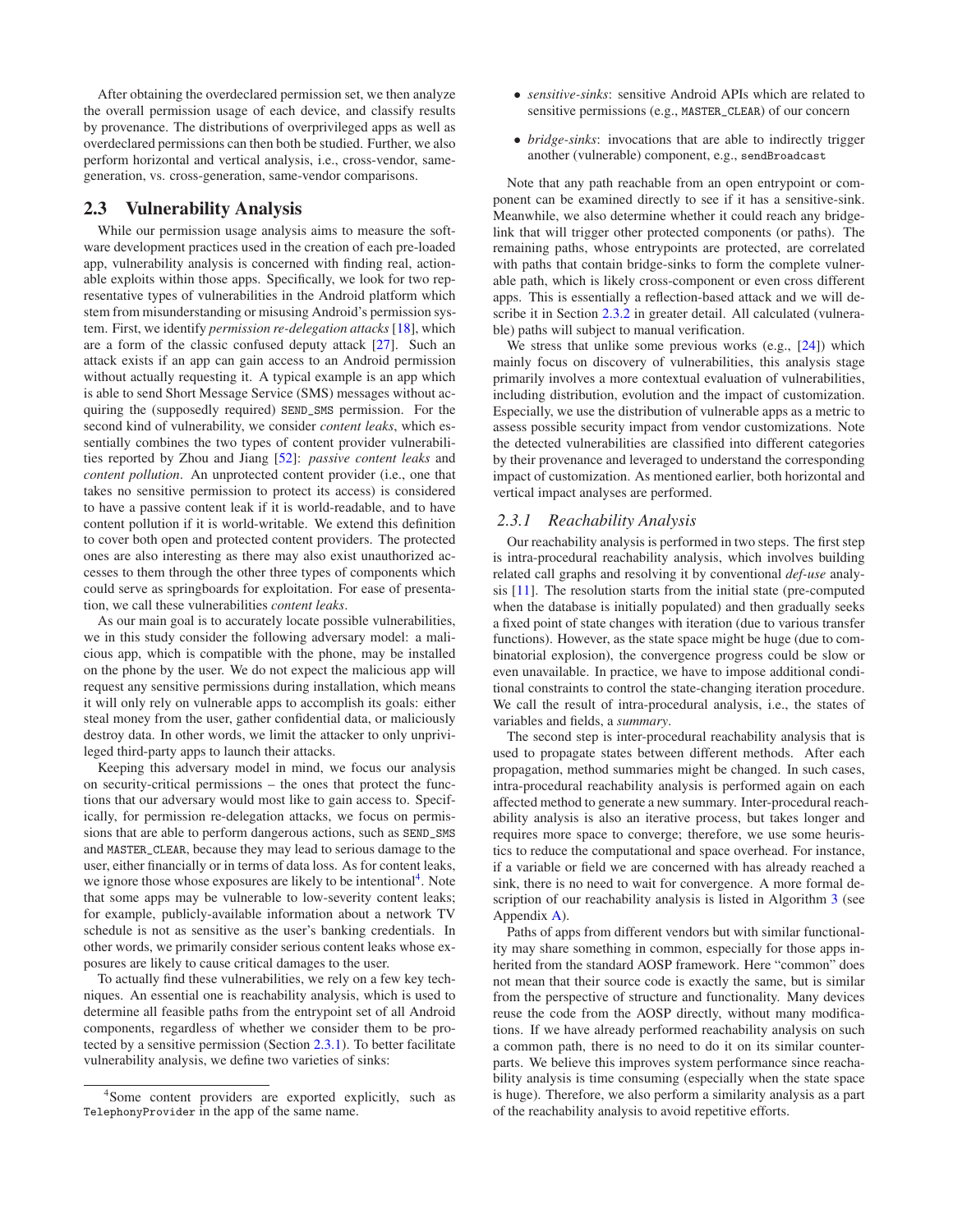After obtaining the overdeclared permission set, we then analyze the overall permission usage of each device, and classify results by provenance. The distributions of overprivileged apps as well as overdeclared permissions can then both be studied. Further, we also perform horizontal and vertical analysis, i.e., cross-vendor, samegeneration, vs. cross-generation, same-vendor comparisons.

## <span id="page-3-0"></span>2.3 Vulnerability Analysis

While our permission usage analysis aims to measure the software development practices used in the creation of each pre-loaded app, vulnerability analysis is concerned with finding real, actionable exploits within those apps. Specifically, we look for two representative types of vulnerabilities in the Android platform which stem from misunderstanding or misusing Android's permission system. First, we identify *permission re-delegation attacks* [\[18\]](#page-10-6), which are a form of the classic confused deputy attack [\[27\]](#page-10-7). Such an attack exists if an app can gain access to an Android permission without actually requesting it. A typical example is an app which is able to send Short Message Service (SMS) messages without acquiring the (supposedly required) SEND\_SMS permission. For the second kind of vulnerability, we consider *content leaks*, which essentially combines the two types of content provider vulnerabilities reported by Zhou and Jiang [\[52\]](#page-11-2): *passive content leaks* and *content pollution*. An unprotected content provider (i.e., one that takes no sensitive permission to protect its access) is considered to have a passive content leak if it is world-readable, and to have content pollution if it is world-writable. We extend this definition to cover both open and protected content providers. The protected ones are also interesting as there may also exist unauthorized accesses to them through the other three types of components which could serve as springboards for exploitation. For ease of presentation, we call these vulnerabilities *content leaks*.

As our main goal is to accurately locate possible vulnerabilities, we in this study consider the following adversary model: a malicious app, which is compatible with the phone, may be installed on the phone by the user. We do not expect the malicious app will request any sensitive permissions during installation, which means it will only rely on vulnerable apps to accomplish its goals: either steal money from the user, gather confidential data, or maliciously destroy data. In other words, we limit the attacker to only unprivileged third-party apps to launch their attacks.

Keeping this adversary model in mind, we focus our analysis on security-critical permissions – the ones that protect the functions that our adversary would most like to gain access to. Specifically, for permission re-delegation attacks, we focus on permissions that are able to perform dangerous actions, such as SEND\_SMS and MASTER\_CLEAR, because they may lead to serious damage to the user, either financially or in terms of data loss. As for content leaks, we ignore those whose exposures are likely to be intentional<sup>4</sup>. Note that some apps may be vulnerable to low-severity content leaks; for example, publicly-available information about a network TV schedule is not as sensitive as the user's banking credentials. In other words, we primarily consider serious content leaks whose exposures are likely to cause critical damages to the user.

To actually find these vulnerabilities, we rely on a few key techniques. An essential one is reachability analysis, which is used to determine all feasible paths from the entrypoint set of all Android components, regardless of whether we consider them to be protected by a sensitive permission (Section [2.3.1\)](#page-3-1). To better facilitate vulnerability analysis, we define two varieties of sinks:

- *sensitive-sinks*: sensitive Android APIs which are related to sensitive permissions (e.g., MASTER\_CLEAR) of our concern
- *bridge-sinks*: invocations that are able to indirectly trigger another (vulnerable) component, e.g., sendBroadcast

Note that any path reachable from an open entrypoint or component can be examined directly to see if it has a sensitive-sink. Meanwhile, we also determine whether it could reach any bridgelink that will trigger other protected components (or paths). The remaining paths, whose entrypoints are protected, are correlated with paths that contain bridge-sinks to form the complete vulnerable path, which is likely cross-component or even cross different apps. This is essentially a reflection-based attack and we will describe it in Section [2.3.2](#page-4-2) in greater detail. All calculated (vulnerable) paths will subject to manual verification.

We stress that unlike some previous works (e.g., [\[24\]](#page-10-2)) which mainly focus on discovery of vulnerabilities, this analysis stage primarily involves a more contextual evaluation of vulnerabilities, including distribution, evolution and the impact of customization. Especially, we use the distribution of vulnerable apps as a metric to assess possible security impact from vendor customizations. Note the detected vulnerabilities are classified into different categories by their provenance and leveraged to understand the corresponding impact of customization. As mentioned earlier, both horizontal and vertical impact analyses are performed.

#### <span id="page-3-1"></span>*2.3.1 Reachability Analysis*

Our reachability analysis is performed in two steps. The first step is intra-procedural reachability analysis, which involves building related call graphs and resolving it by conventional *def-use* analysis [\[11\]](#page-10-8). The resolution starts from the initial state (pre-computed when the database is initially populated) and then gradually seeks a fixed point of state changes with iteration (due to various transfer functions). However, as the state space might be huge (due to combinatorial explosion), the convergence progress could be slow or even unavailable. In practice, we have to impose additional conditional constraints to control the state-changing iteration procedure. We call the result of intra-procedural analysis, i.e., the states of variables and fields, a *summary*.

The second step is inter-procedural reachability analysis that is used to propagate states between different methods. After each propagation, method summaries might be changed. In such cases, intra-procedural reachability analysis is performed again on each affected method to generate a new summary. Inter-procedural reachability analysis is also an iterative process, but takes longer and requires more space to converge; therefore, we use some heuristics to reduce the computational and space overhead. For instance, if a variable or field we are concerned with has already reached a sink, there is no need to wait for convergence. A more formal de-scription of our reachability analysis is listed in Algorithm [3](#page-11-3) (see Appendix [A\)](#page-11-4).

Paths of apps from different vendors but with similar functionality may share something in common, especially for those apps inherited from the standard AOSP framework. Here "common" does not mean that their source code is exactly the same, but is similar from the perspective of structure and functionality. Many devices reuse the code from the AOSP directly, without many modifications. If we have already performed reachability analysis on such a common path, there is no need to do it on its similar counterparts. We believe this improves system performance since reachability analysis is time consuming (especially when the state space is huge). Therefore, we also perform a similarity analysis as a part of the reachability analysis to avoid repetitive efforts.

<sup>4</sup> Some content providers are exported explicitly, such as TelephonyProvider in the app of the same name.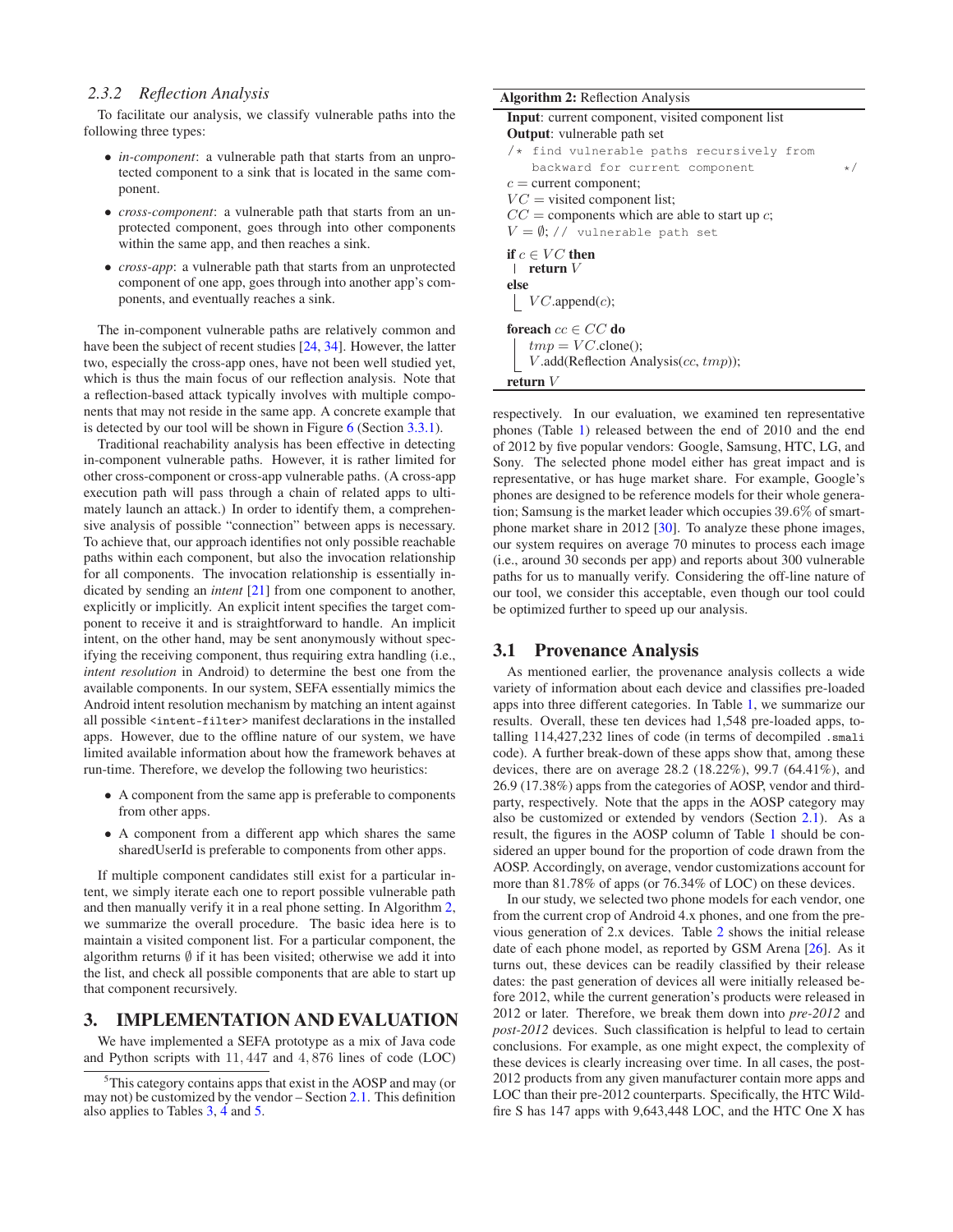#### <span id="page-4-2"></span>*2.3.2 Reflection Analysis*

To facilitate our analysis, we classify vulnerable paths into the following three types:

- *in-component*: a vulnerable path that starts from an unprotected component to a sink that is located in the same component.
- *cross-component*: a vulnerable path that starts from an unprotected component, goes through into other components within the same app, and then reaches a sink.
- *cross-app*: a vulnerable path that starts from an unprotected component of one app, goes through into another app's components, and eventually reaches a sink.

The in-component vulnerable paths are relatively common and have been the subject of recent studies [\[24,](#page-10-2) [34\]](#page-11-5). However, the latter two, especially the cross-app ones, have not been well studied yet, which is thus the main focus of our reflection analysis. Note that a reflection-based attack typically involves with multiple components that may not reside in the same app. A concrete example that is detected by our tool will be shown in Figure [6](#page-8-1) (Section [3.3.1\)](#page-7-0).

Traditional reachability analysis has been effective in detecting in-component vulnerable paths. However, it is rather limited for other cross-component or cross-app vulnerable paths. (A cross-app execution path will pass through a chain of related apps to ultimately launch an attack.) In order to identify them, a comprehensive analysis of possible "connection" between apps is necessary. To achieve that, our approach identifies not only possible reachable paths within each component, but also the invocation relationship for all components. The invocation relationship is essentially indicated by sending an *intent* [\[21\]](#page-10-9) from one component to another, explicitly or implicitly. An explicit intent specifies the target component to receive it and is straightforward to handle. An implicit intent, on the other hand, may be sent anonymously without specifying the receiving component, thus requiring extra handling (i.e., *intent resolution* in Android) to determine the best one from the available components. In our system, SEFA essentially mimics the Android intent resolution mechanism by matching an intent against all possible <intent-filter> manifest declarations in the installed apps. However, due to the offline nature of our system, we have limited available information about how the framework behaves at run-time. Therefore, we develop the following two heuristics:

- A component from the same app is preferable to components from other apps.
- A component from a different app which shares the same sharedUserId is preferable to components from other apps.

If multiple component candidates still exist for a particular intent, we simply iterate each one to report possible vulnerable path and then manually verify it in a real phone setting. In Algorithm [2,](#page-4-3) we summarize the overall procedure. The basic idea here is to maintain a visited component list. For a particular component, the algorithm returns  $\emptyset$  if it has been visited; otherwise we add it into the list, and check all possible components that are able to start up that component recursively.

## <span id="page-4-0"></span>3. IMPLEMENTATION AND EVALUATION

We have implemented a SEFA prototype as a mix of Java code and Python scripts with 11, 447 and 4, 876 lines of code (LOC)

| <b>Algorithm 2: Reflection Analysis</b>                 |          |
|---------------------------------------------------------|----------|
| <b>Input:</b> current component, visited component list |          |
| <b>Output:</b> vulnerable path set                      |          |
| /* find vulnerable paths recursively from               |          |
| backward for current component                          | $\star/$ |
| $c =$ current component;                                |          |
| $VC$ = visited component list;                          |          |
| $CC =$ components which are able to start up c;         |          |
| $V = \emptyset$ ;// vulnerable path set                 |          |
| if $c \in VC$ then<br>$\blacksquare$ return $V$         |          |
| else                                                    |          |
| $\mid VC.append(c);$                                    |          |
| foreach $cc \in CC$ do                                  |          |
| $tmp = VC$ .clone();                                    |          |
| $V$ .add(Reflection Analysis(cc, tmp));                 |          |
| return $V$                                              |          |

<span id="page-4-3"></span>respectively. In our evaluation, we examined ten representative phones (Table [1\)](#page-5-0) released between the end of 2010 and the end of 2012 by five popular vendors: Google, Samsung, HTC, LG, and Sony. The selected phone model either has great impact and is representative, or has huge market share. For example, Google's phones are designed to be reference models for their whole generation; Samsung is the market leader which occupies 39.6% of smartphone market share in 2012 [\[30\]](#page-10-0). To analyze these phone images, our system requires on average 70 minutes to process each image (i.e., around 30 seconds per app) and reports about 300 vulnerable paths for us to manually verify. Considering the off-line nature of our tool, we consider this acceptable, even though our tool could be optimized further to speed up our analysis.

#### <span id="page-4-1"></span>3.1 Provenance Analysis

As mentioned earlier, the provenance analysis collects a wide variety of information about each device and classifies pre-loaded apps into three different categories. In Table [1,](#page-5-0) we summarize our results. Overall, these ten devices had 1,548 pre-loaded apps, totalling 114,427,232 lines of code (in terms of decompiled .smali code). A further break-down of these apps show that, among these devices, there are on average 28.2 (18.22%), 99.7 (64.41%), and 26.9 (17.38%) apps from the categories of AOSP, vendor and thirdparty, respectively. Note that the apps in the AOSP category may also be customized or extended by vendors (Section [2.1\)](#page-1-2). As a result, the figures in the AOSP column of Table [1](#page-5-0) should be considered an upper bound for the proportion of code drawn from the AOSP. Accordingly, on average, vendor customizations account for more than 81.78% of apps (or 76.34% of LOC) on these devices.

In our study, we selected two phone models for each vendor, one from the current crop of Android 4.x phones, and one from the previous generation of 2.x devices. Table [2](#page-5-1) shows the initial release date of each phone model, as reported by GSM Arena [\[26\]](#page-10-10). As it turns out, these devices can be readily classified by their release dates: the past generation of devices all were initially released before 2012, while the current generation's products were released in 2012 or later. Therefore, we break them down into *pre-2012* and *post-2012* devices. Such classification is helpful to lead to certain conclusions. For example, as one might expect, the complexity of these devices is clearly increasing over time. In all cases, the post-2012 products from any given manufacturer contain more apps and LOC than their pre-2012 counterparts. Specifically, the HTC Wildfire S has 147 apps with 9,643,448 LOC, and the HTC One X has

<sup>&</sup>lt;sup>5</sup>This category contains apps that exist in the AOSP and may (or may not) be customized by the vendor – Section [2.1.](#page-1-2) This definition also applies to Tables [3,](#page-6-0) [4](#page-6-1) and [5.](#page-7-1)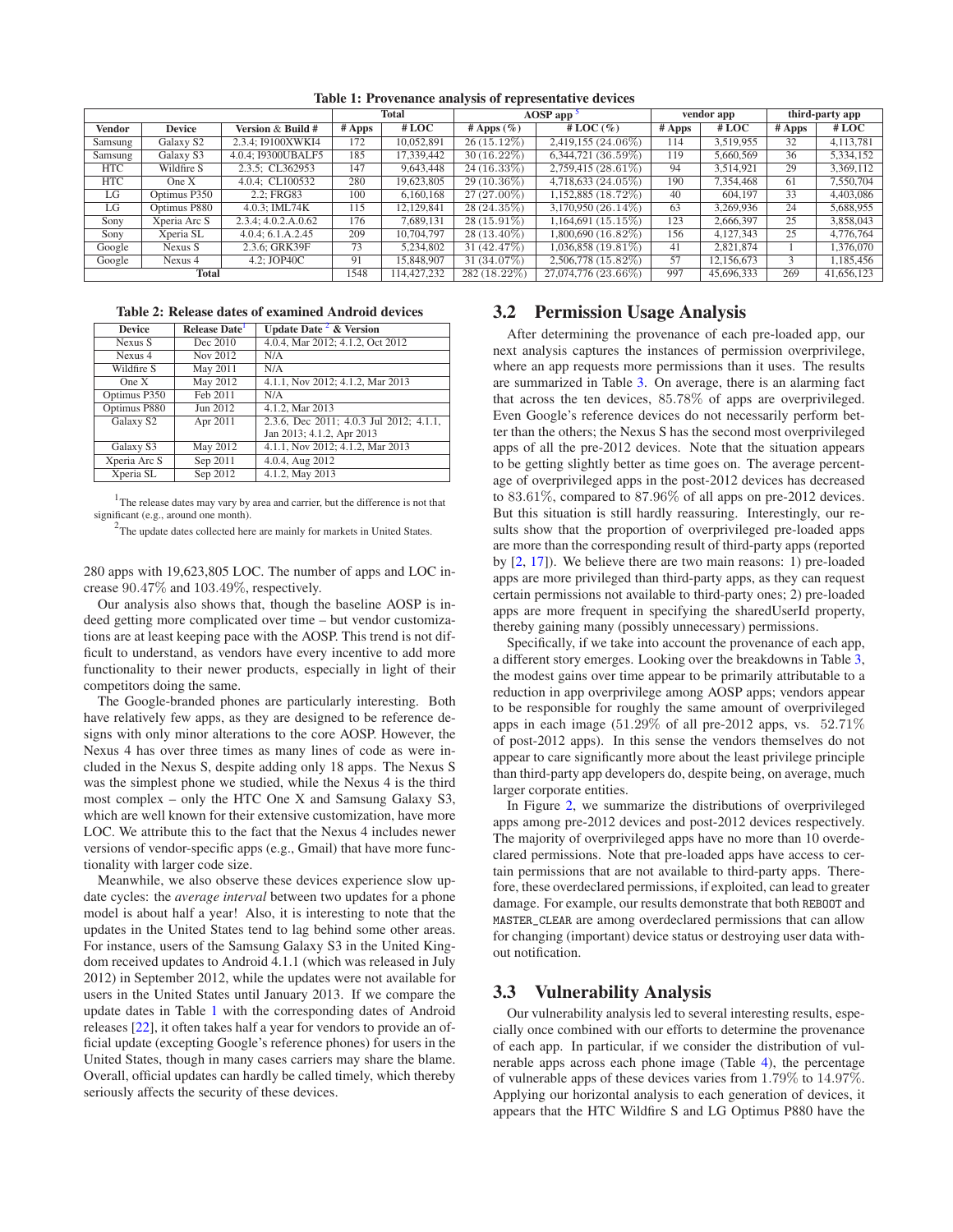|               | <b>Total</b><br>$AOSP$ app $3$ |                     |                               | vendor app  |               | third-party app         |                                                                      |            |          |            |
|---------------|--------------------------------|---------------------|-------------------------------|-------------|---------------|-------------------------|----------------------------------------------------------------------|------------|----------|------------|
| <b>Vendor</b> | <b>Device</b>                  | Version & Build #   | $\overline{\textbf{\#}}$ Apps | #LOC        | # Apps $(\%)$ | # LOC $(\%)$            | $\overline{\textbf{\#} \textbf{A} \textbf{p} \textbf{p} \textbf{s}}$ | #LOC       | $#$ Apps | #LOC       |
| Samsung       | Galaxy S2                      | 2.3.4: I9100XWKI4   | 172                           | 10,052,891  | $26(15.12\%)$ | $2,419,155(24.06\%)$    | 114                                                                  | 3,519,955  | 32       | 4,113,781  |
| Samsung       | Galaxy S3                      | 4.0.4: I9300UBALF5  | 185                           | 17,339,442  | $30(16.22\%)$ | $6,344,721$ $(36.59\%)$ | 119                                                                  | 5,660,569  | 36       | 5,334,152  |
| HTC           | Wildfire S                     | 2.3.5: CL362953     | 147                           | 9,643,448   | $24(16.33\%)$ | 2,759,415 (28.61\%)     | 94                                                                   | 3.514.921  | 29       | 3,369,112  |
| <b>HTC</b>    | One X                          | 4.0.4; CL100532     | 280                           | 19,623,805  | $29(10.36\%)$ | $4.718.633(24.05\%)$    | 190                                                                  | 7,354,468  | 61       | 7,550,704  |
| LG            | Optimus P350                   | 2.2: FRG83          | 100                           | 6,160,168   | $27(27.00\%)$ | 1,152,885 (18.72%)      | 40                                                                   | 604,197    | 33       | 4,403,086  |
| LG            | Optimus P880                   | $4.0.3$ : IML74K    | 115                           | 12,129,841  | $28(24.35\%)$ | $3,170,950(26.14\%)$    | 63                                                                   | 3,269,936  | 24       | 5,688,955  |
| Sony          | Xperia Arc S                   | 2.3.4; 4.0.2.A.0.62 | 176                           | 7,689,131   | 28 (15.91%)   | 1,164,691(15.15%)       | 123                                                                  | 2.666.397  | 25       | 3,858,043  |
| Sony          | Xperia SL                      | 4.0.4: 6.1.A.2.45   | 209                           | 10,704,797  | $28(13.40\%)$ | $1,800,690$ $(16.82\%)$ | 156                                                                  | 4,127,343  | 25       | 4,776,764  |
| Google        | Nexus S                        | 2.3.6; GRK39F       | 73                            | 5,234,802   | 31(42.47%)    | $1,036,858(19.81\%)$    | 41                                                                   | 2,821,874  |          | 1,376,070  |
| Google        | Nexus 4                        | 4.2: JOP40C         | 91                            | 15,848,907  | 31 (34.07%)   | 2,506,778 (15.82%)      | 57                                                                   | 12,156,673 | 3        | 1,185,456  |
| <b>Total</b>  |                                |                     | 1548                          | 114,427,232 | 282 (18.22%)  | 27,074,776 (23.66%)     | 997                                                                  | 45,696,333 | 269      | 41,656,123 |

<span id="page-5-0"></span>Table 1: Provenance analysis of representative devices

<span id="page-5-1"></span>Table 2: Release dates of examined Android devices

| <b>Device</b> | Release Date <sup>1</sup> | <b>Update Date <math>2 \&amp;</math> Version</b> |
|---------------|---------------------------|--------------------------------------------------|
| Nexus S       | Dec 2010                  | 4.0.4, Mar 2012; 4.1.2, Oct 2012                 |
| Nexus 4       | Nov 2012                  | N/A                                              |
| Wildfire S    | May 2011                  | N/A                                              |
| One $X$       | May 2012                  | 4.1.1, Nov 2012; 4.1.2, Mar 2013                 |
| Optimus P350  | Feb 2011                  | N/A                                              |
| Optimus P880  | Jun 2012                  | 4.1.2. Mar 2013                                  |
| Galaxy S2     | Apr 2011                  | 2.3.6, Dec 2011; 4.0.3 Jul 2012; 4.1.1,          |
|               |                           | Jan 2013; 4.1.2, Apr 2013                        |
| Galaxy S3     | May 2012                  | 4.1.1, Nov 2012; 4.1.2, Mar 2013                 |
| Xperia Arc S  | Sep 2011                  | 4.0.4, Aug 2012                                  |
| Xperia SL     | Sep 2012                  | 4.1.2, May 2013                                  |

<sup>1</sup>The release dates may vary by area and carrier, but the difference is not that significant (e.g., around one month).

<span id="page-5-3"></span><span id="page-5-2"></span> $2$ The update dates collected here are mainly for markets in United States.

280 apps with 19,623,805 LOC. The number of apps and LOC increase 90.47% and 103.49%, respectively.

Our analysis also shows that, though the baseline AOSP is indeed getting more complicated over time – but vendor customizations are at least keeping pace with the AOSP. This trend is not difficult to understand, as vendors have every incentive to add more functionality to their newer products, especially in light of their competitors doing the same.

The Google-branded phones are particularly interesting. Both have relatively few apps, as they are designed to be reference designs with only minor alterations to the core AOSP. However, the Nexus 4 has over three times as many lines of code as were included in the Nexus S, despite adding only 18 apps. The Nexus S was the simplest phone we studied, while the Nexus 4 is the third most complex – only the HTC One X and Samsung Galaxy S3, which are well known for their extensive customization, have more LOC. We attribute this to the fact that the Nexus 4 includes newer versions of vendor-specific apps (e.g., Gmail) that have more functionality with larger code size.

Meanwhile, we also observe these devices experience slow update cycles: the *average interval* between two updates for a phone model is about half a year! Also, it is interesting to note that the updates in the United States tend to lag behind some other areas. For instance, users of the Samsung Galaxy S3 in the United Kingdom received updates to Android 4.1.1 (which was released in July 2012) in September 2012, while the updates were not available for users in the United States until January 2013. If we compare the update dates in Table [1](#page-5-0) with the corresponding dates of Android releases [\[22\]](#page-10-11), it often takes half a year for vendors to provide an official update (excepting Google's reference phones) for users in the United States, though in many cases carriers may share the blame. Overall, official updates can hardly be called timely, which thereby seriously affects the security of these devices.

## 3.2 Permission Usage Analysis

After determining the provenance of each pre-loaded app, our next analysis captures the instances of permission overprivilege, where an app requests more permissions than it uses. The results are summarized in Table [3.](#page-6-0) On average, there is an alarming fact that across the ten devices, 85.78% of apps are overprivileged. Even Google's reference devices do not necessarily perform better than the others; the Nexus S has the second most overprivileged apps of all the pre-2012 devices. Note that the situation appears to be getting slightly better as time goes on. The average percentage of overprivileged apps in the post-2012 devices has decreased to 83.61%, compared to 87.96% of all apps on pre-2012 devices. But this situation is still hardly reassuring. Interestingly, our results show that the proportion of overprivileged pre-loaded apps are more than the corresponding result of third-party apps (reported by [\[2,](#page-10-5) [17\]](#page-10-12)). We believe there are two main reasons: 1) pre-loaded apps are more privileged than third-party apps, as they can request certain permissions not available to third-party ones; 2) pre-loaded apps are more frequent in specifying the sharedUserId property, thereby gaining many (possibly unnecessary) permissions.

Specifically, if we take into account the provenance of each app, a different story emerges. Looking over the breakdowns in Table [3,](#page-6-0) the modest gains over time appear to be primarily attributable to a reduction in app overprivilege among AOSP apps; vendors appear to be responsible for roughly the same amount of overprivileged apps in each image (51.29% of all pre-2012 apps, vs. 52.71% of post-2012 apps). In this sense the vendors themselves do not appear to care significantly more about the least privilege principle than third-party app developers do, despite being, on average, much larger corporate entities.

In Figure [2,](#page-6-2) we summarize the distributions of overprivileged apps among pre-2012 devices and post-2012 devices respectively. The majority of overprivileged apps have no more than 10 overdeclared permissions. Note that pre-loaded apps have access to certain permissions that are not available to third-party apps. Therefore, these overdeclared permissions, if exploited, can lead to greater damage. For example, our results demonstrate that both REBOOT and MASTER\_CLEAR are among overdeclared permissions that can allow for changing (important) device status or destroying user data without notification.

## 3.3 Vulnerability Analysis

Our vulnerability analysis led to several interesting results, especially once combined with our efforts to determine the provenance of each app. In particular, if we consider the distribution of vulnerable apps across each phone image (Table [4\)](#page-6-1), the percentage of vulnerable apps of these devices varies from 1.79% to 14.97%. Applying our horizontal analysis to each generation of devices, it appears that the HTC Wildfire S and LG Optimus P880 have the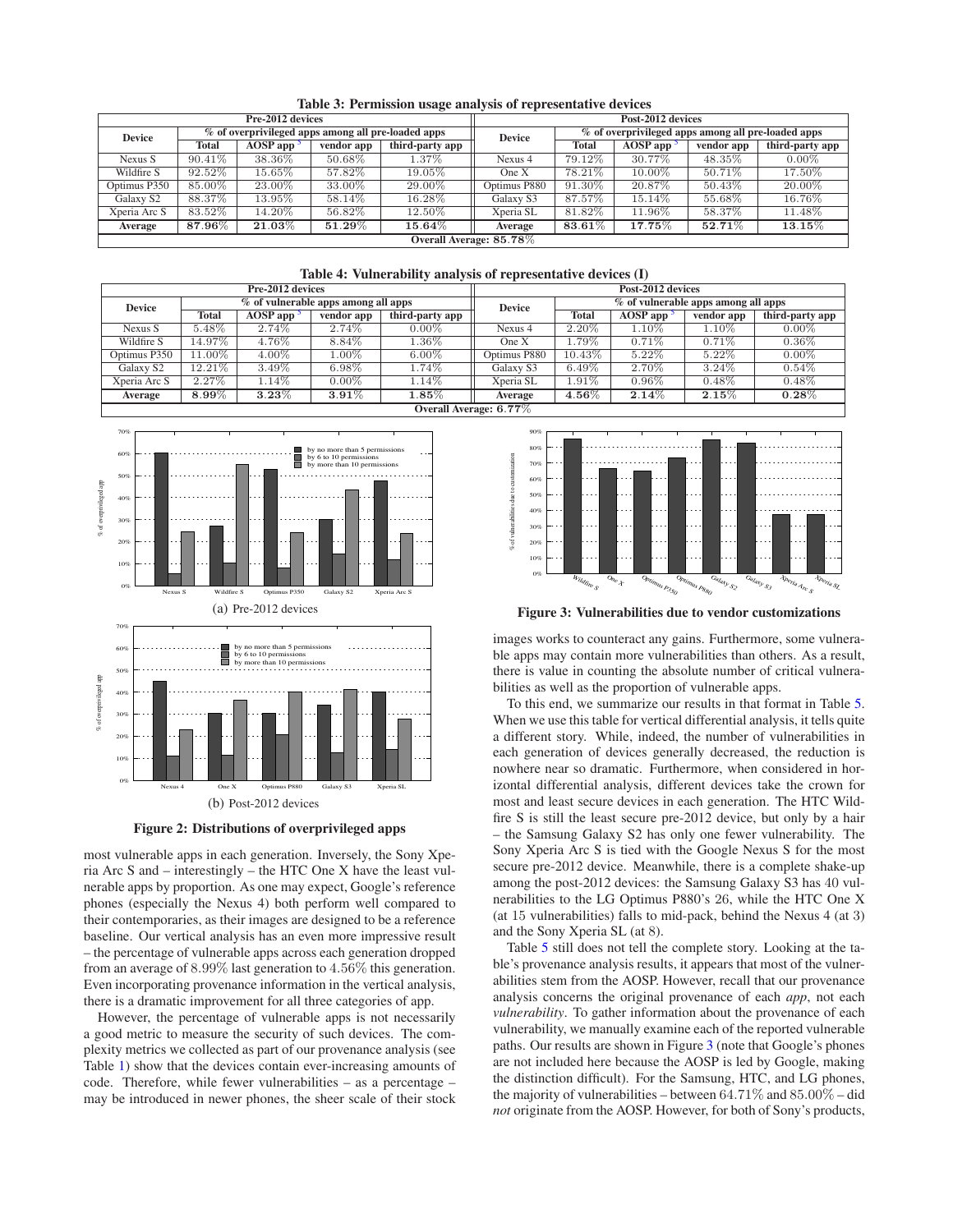<span id="page-6-0"></span>

| Table 3: Permission usage analysis of representative devices |  |  |
|--------------------------------------------------------------|--|--|
|                                                              |  |  |

|               |              | Pre-2012 devices                                   |            |                 | Post-2012 devices       |              |                                                    |            |                 |  |  |
|---------------|--------------|----------------------------------------------------|------------|-----------------|-------------------------|--------------|----------------------------------------------------|------------|-----------------|--|--|
| <b>Device</b> |              | % of overprivileged apps among all pre-loaded apps |            |                 | <b>Device</b>           |              | % of overprivileged apps among all pre-loaded apps |            |                 |  |  |
|               | <b>Total</b> | $\overline{AOSP}$ app $\overline{S}$               | vendor app | third-party app |                         | <b>Total</b> | $AOSP$ app                                         | vendor app | third-party app |  |  |
| Nexus S       | 90.41\%      | 38.36%                                             | 50.68%     | $1.37\%$        | Nexus 4                 | 79.12%       | 30.77%                                             | 48.35%     | $0.00\%$        |  |  |
| Wildfire S    | 92.52%       | $15.65\%$                                          | 57.82%     | 19.05%          | One $X$                 | 78.21%       | 10.00%                                             | 50.71%     | 17.50%          |  |  |
| Optimus P350  | 85.00%       | 23.00%                                             | 33.00%     | 29.00%          | Optimus P880            | 91.30%       | 20.87%                                             | 50.43\%    | 20.00%          |  |  |
| Galaxy S2     | 88.37%       | 13.95%                                             | 58.14%     | $16.28\%$       | Galaxy S3               | 87.57%       | 15.14%                                             | 55.68%     | $16.76\%$       |  |  |
| Xperia Arc S  | 83.52%       | 14.20%                                             | 56.82%     | 12.50%          | Xperia SL               | 81.82%       | 11.96%                                             | 58.37%     | 11.48%          |  |  |
| Average       | 87.96%       | $21.03\%$                                          | $51.29\%$  | $15.64\%$       | Average                 | 83.61%       | 17.75%                                             | 52.71%     | $13.15\%$       |  |  |
|               |              |                                                    |            |                 | Overall Average: 85.78% |              |                                                    |            |                 |  |  |

<span id="page-6-1"></span>

|  | Table 4: Vulnerability analysis of representative devices (I) |  |
|--|---------------------------------------------------------------|--|
|  |                                                               |  |

|                       |              | Pre-2012 devices                                      |            |                 | Post-2012 devices      |              |                                     |            |                 |  |  |
|-----------------------|--------------|-------------------------------------------------------|------------|-----------------|------------------------|--------------|-------------------------------------|------------|-----------------|--|--|
| <b>Device</b>         |              | % of vulnerable apps among all apps                   |            |                 | <b>Device</b>          |              | % of vulnerable apps among all apps |            |                 |  |  |
|                       | <b>Total</b> | $\overline{\text{AOSP}}$ app $\overline{\phantom{a}}$ | vendor app | third-party app |                        | <b>Total</b> | AOSP app                            | vendor app | third-party app |  |  |
| Nexus S               | 5.48%        | 2.74%                                                 | 2.74%      | $0.00\%$        | Nexus 4                | 2.20%        | $1.10\%$                            | $1.10\%$   | $0.00\%$        |  |  |
| Wildfire S            | 14.97%       | 4.76%                                                 | 8.84%      | $1.36\%$        | One $X$                | 1.79%        | 0.71%                               | 0.71%      | $0.36\%$        |  |  |
| Optimus P350          | $1.00\%$     | $4.00\%$                                              | $1.00\%$   | $6.00\%$        | Optimus P880           | 10.43%       | $5.22\%$                            | 5.22%      | $0.00\%$        |  |  |
| Galaxy S <sub>2</sub> | $12.21\%$    | 3.49%                                                 | 6.98%      | $1.74\%$        | Galaxy S3              | $6.49\%$     | 2.70%                               | 3.24\%     | 0.54%           |  |  |
| Xperia Arc S          | $2.27\%$     | $1.14\%$                                              | $0.00\%$   | $1.14\%$        | Xperia SL              | $1.91\%$     | $0.96\%$                            | $0.48\%$   | $0.48\%$        |  |  |
| Average               | $8.99\%$     | 3.23%                                                 | 3.91%      | $1.85\%$        | Average                | $4.56\%$     | $2.14\%$                            | $2.15\%$   | $0.28\%$        |  |  |
|                       |              |                                                       |            |                 | Overall Average: 6.77% |              |                                     |            |                 |  |  |



<span id="page-6-2"></span>Figure 2: Distributions of overprivileged apps

most vulnerable apps in each generation. Inversely, the Sony Xperia Arc S and – interestingly – the HTC One X have the least vulnerable apps by proportion. As one may expect, Google's reference phones (especially the Nexus 4) both perform well compared to their contemporaries, as their images are designed to be a reference baseline. Our vertical analysis has an even more impressive result – the percentage of vulnerable apps across each generation dropped from an average of 8.99% last generation to 4.56% this generation. Even incorporating provenance information in the vertical analysis, there is a dramatic improvement for all three categories of app.

However, the percentage of vulnerable apps is not necessarily a good metric to measure the security of such devices. The complexity metrics we collected as part of our provenance analysis (see Table [1\)](#page-5-0) show that the devices contain ever-increasing amounts of code. Therefore, while fewer vulnerabilities – as a percentage – may be introduced in newer phones, the sheer scale of their stock



<span id="page-6-3"></span>Figure 3: Vulnerabilities due to vendor customizations

images works to counteract any gains. Furthermore, some vulnerable apps may contain more vulnerabilities than others. As a result, there is value in counting the absolute number of critical vulnerabilities as well as the proportion of vulnerable apps.

To this end, we summarize our results in that format in Table [5.](#page-7-1) When we use this table for vertical differential analysis, it tells quite a different story. While, indeed, the number of vulnerabilities in each generation of devices generally decreased, the reduction is nowhere near so dramatic. Furthermore, when considered in horizontal differential analysis, different devices take the crown for most and least secure devices in each generation. The HTC Wildfire S is still the least secure pre-2012 device, but only by a hair – the Samsung Galaxy S2 has only one fewer vulnerability. The Sony Xperia Arc S is tied with the Google Nexus S for the most secure pre-2012 device. Meanwhile, there is a complete shake-up among the post-2012 devices: the Samsung Galaxy S3 has 40 vulnerabilities to the LG Optimus P880's 26, while the HTC One X (at 15 vulnerabilities) falls to mid-pack, behind the Nexus 4 (at 3) and the Sony Xperia SL (at 8).

Table [5](#page-7-1) still does not tell the complete story. Looking at the table's provenance analysis results, it appears that most of the vulnerabilities stem from the AOSP. However, recall that our provenance analysis concerns the original provenance of each *app*, not each *vulnerability*. To gather information about the provenance of each vulnerability, we manually examine each of the reported vulnerable paths. Our results are shown in Figure [3](#page-6-3) (note that Google's phones are not included here because the AOSP is led by Google, making the distinction difficult). For the Samsung, HTC, and LG phones, the majority of vulnerabilities – between 64.71% and 85.00% – did *not* originate from the AOSP. However, for both of Sony's products,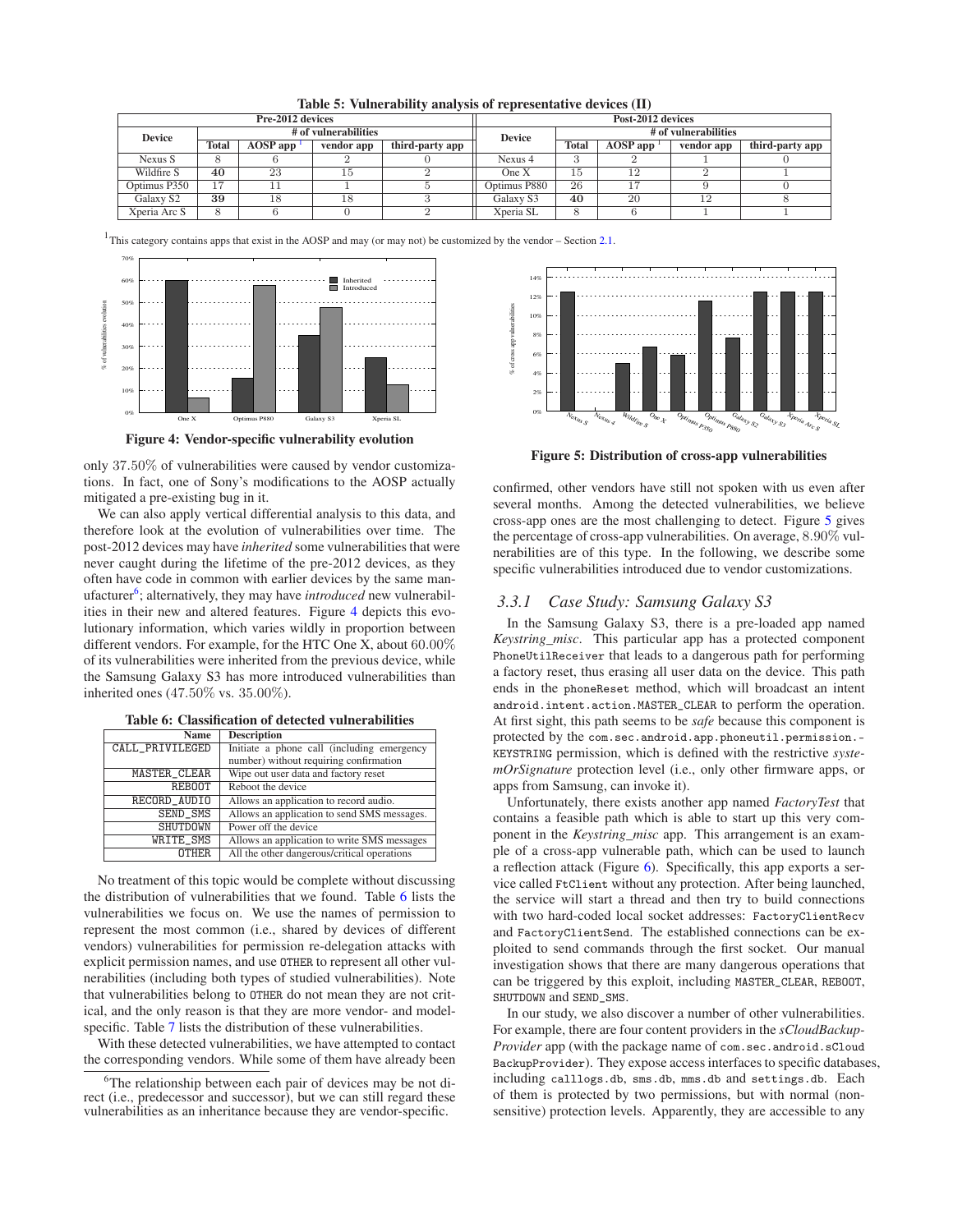|               | Pre-2012 devices |          |                      | Post-2012 devices |               |                      |          |            |                 |  |
|---------------|------------------|----------|----------------------|-------------------|---------------|----------------------|----------|------------|-----------------|--|
| <b>Device</b> |                  |          | # of vulnerabilities |                   | <b>Device</b> | # of vulnerabilities |          |            |                 |  |
|               | <b>Total</b>     | AOSP app | vendor app           | third-party app   |               | <b>Total</b>         | AOSP app | vendor app | third-party app |  |
| Nexus S       | 8                |          |                      |                   | Nexus 4       |                      |          |            |                 |  |
| Wildfire S    | 40               | 23       | 15                   |                   | One X         | 15                   | 12       |            |                 |  |
| Optimus P350  | 17               |          |                      |                   | Optimus P880  | 26                   |          |            |                 |  |
| Galaxy S2     | 39               | 18       | 18                   |                   | Galaxy S3     | 40                   | 20       | 12         |                 |  |
| Xperia Arc S  | 8                |          |                      |                   | Xperia SL     | 8                    |          |            |                 |  |

<span id="page-7-1"></span>Table 5: Vulnerability analysis of representative devices (II)

<sup>1</sup>This category contains apps that exist in the AOSP and may (or may not) be customized by the vendor – Section [2.1.](#page-1-2)



<span id="page-7-2"></span>Figure 4: Vendor-specific vulnerability evolution

only 37.50% of vulnerabilities were caused by vendor customizations. In fact, one of Sony's modifications to the AOSP actually mitigated a pre-existing bug in it.

We can also apply vertical differential analysis to this data, and therefore look at the evolution of vulnerabilities over time. The post-2012 devices may have *inherited* some vulnerabilities that were never caught during the lifetime of the pre-2012 devices, as they often have code in common with earlier devices by the same manufacturer<sup>6</sup>; alternatively, they may have *introduced* new vulnerabilities in their new and altered features. Figure [4](#page-7-2) depicts this evolutionary information, which varies wildly in proportion between different vendors. For example, for the HTC One X, about 60.00% of its vulnerabilities were inherited from the previous device, while the Samsung Galaxy S3 has more introduced vulnerabilities than inherited ones (47.50% vs. 35.00%).

<span id="page-7-3"></span>Table 6: Classification of detected vulnerabilities

| 1000 - 1000 - 1000 - 1000 - 1000 - 1000 - 1000 - 1000 - 1000 - 1000 - 1000 - 1000 - 1000 - 1000 - 1000 - 1000 |                                             |  |  |  |  |  |  |
|---------------------------------------------------------------------------------------------------------------|---------------------------------------------|--|--|--|--|--|--|
| Name                                                                                                          | <b>Description</b>                          |  |  |  |  |  |  |
| CALL PRIVILEGED                                                                                               | Initiate a phone call (including emergency  |  |  |  |  |  |  |
|                                                                                                               | number) without requiring confirmation      |  |  |  |  |  |  |
| MASTER CLEAR                                                                                                  | Wipe out user data and factory reset        |  |  |  |  |  |  |
| REBOOT                                                                                                        | Reboot the device                           |  |  |  |  |  |  |
| RECORD_AUDIO                                                                                                  | Allows an application to record audio.      |  |  |  |  |  |  |
| SEND SMS                                                                                                      | Allows an application to send SMS messages. |  |  |  |  |  |  |
| <b>SHUTDOWN</b>                                                                                               | Power off the device                        |  |  |  |  |  |  |
| <b>WRITE SMS</b>                                                                                              | Allows an application to write SMS messages |  |  |  |  |  |  |
| <b>OTHER</b>                                                                                                  | All the other dangerous/critical operations |  |  |  |  |  |  |

No treatment of this topic would be complete without discussing the distribution of vulnerabilities that we found. Table [6](#page-7-3) lists the vulnerabilities we focus on. We use the names of permission to represent the most common (i.e., shared by devices of different vendors) vulnerabilities for permission re-delegation attacks with explicit permission names, and use OTHER to represent all other vulnerabilities (including both types of studied vulnerabilities). Note that vulnerabilities belong to OTHER do not mean they are not critical, and the only reason is that they are more vendor- and model-specific. Table [7](#page-8-2) lists the distribution of these vulnerabilities.

With these detected vulnerabilities, we have attempted to contact the corresponding vendors. While some of them have already been



<span id="page-7-4"></span>Figure 5: Distribution of cross-app vulnerabilities

confirmed, other vendors have still not spoken with us even after several months. Among the detected vulnerabilities, we believe cross-app ones are the most challenging to detect. Figure [5](#page-7-4) gives the percentage of cross-app vulnerabilities. On average, 8.90% vulnerabilities are of this type. In the following, we describe some specific vulnerabilities introduced due to vendor customizations.

#### <span id="page-7-0"></span>*3.3.1 Case Study: Samsung Galaxy S3*

In the Samsung Galaxy S3, there is a pre-loaded app named *Keystring\_misc*. This particular app has a protected component PhoneUtilReceiver that leads to a dangerous path for performing a factory reset, thus erasing all user data on the device. This path ends in the phoneReset method, which will broadcast an intent android.intent.action.MASTER\_CLEAR to perform the operation. At first sight, this path seems to be *safe* because this component is protected by the com.sec.android.app.phoneutil.permission.- KEYSTRING permission, which is defined with the restrictive *systemOrSignature* protection level (i.e., only other firmware apps, or apps from Samsung, can invoke it).

Unfortunately, there exists another app named *FactoryTest* that contains a feasible path which is able to start up this very component in the *Keystring\_misc* app. This arrangement is an example of a cross-app vulnerable path, which can be used to launch a reflection attack (Figure [6\)](#page-8-1). Specifically, this app exports a service called FtClient without any protection. After being launched, the service will start a thread and then try to build connections with two hard-coded local socket addresses: FactoryClientRecv and FactoryClientSend. The established connections can be exploited to send commands through the first socket. Our manual investigation shows that there are many dangerous operations that can be triggered by this exploit, including MASTER\_CLEAR, REBOOT, SHUTDOWN and SEND\_SMS.

In our study, we also discover a number of other vulnerabilities. For example, there are four content providers in the *sCloudBackup-Provider* app (with the package name of com.sec.android.sCloud BackupProvider). They expose access interfaces to specific databases, including calllogs.db, sms.db, mms.db and settings.db. Each of them is protected by two permissions, but with normal (nonsensitive) protection levels. Apparently, they are accessible to any

<sup>&</sup>lt;sup>6</sup>The relationship between each pair of devices may be not direct (i.e., predecessor and successor), but we can still regard these vulnerabilities as an inheritance because they are vendor-specific.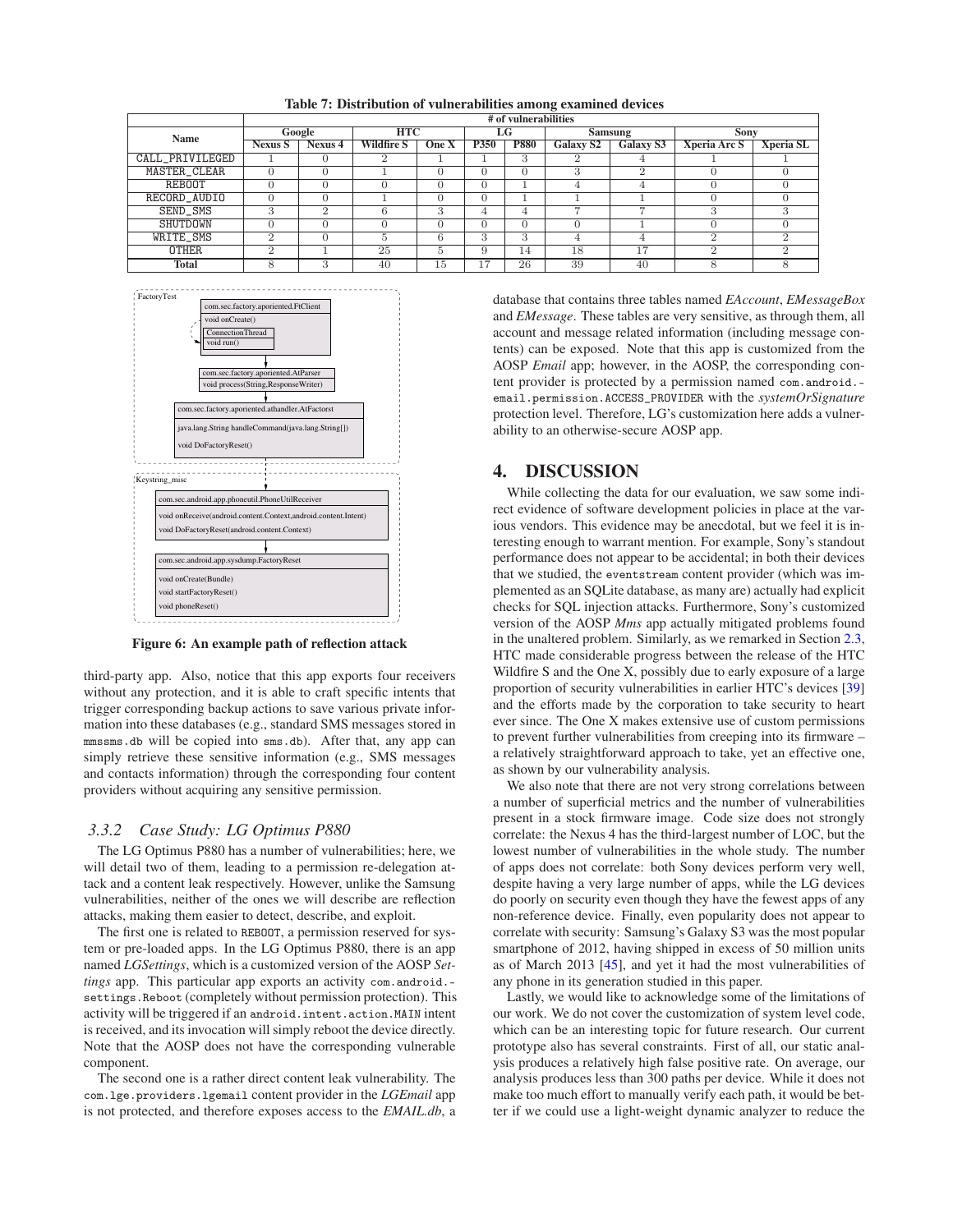|                 |               | # of vulnerabilities |            |       |      |                |                      |                  |              |           |
|-----------------|---------------|----------------------|------------|-------|------|----------------|----------------------|------------------|--------------|-----------|
| <b>Name</b>     |               | Google               | <b>HTC</b> |       | LG   |                | <b>Samsung</b>       |                  | Sony         |           |
|                 | Nexus S       | Nexus 4              | Wildfire S | One X | P350 | <b>P880</b>    | Galaxy <sub>S2</sub> | <b>Galaxy S3</b> | Xperia Arc S | Xperia SL |
| CALL_PRIVILEGED |               |                      |            |       |      | 3              | ാ                    |                  |              |           |
| MASTER_CLEAR    |               |                      |            |       |      |                | 3                    | $\Omega$         |              |           |
| <b>REBOOT</b>   |               |                      |            |       |      |                | 4                    | 4                |              |           |
| RECORD_AUDIO    |               |                      |            |       |      |                |                      |                  |              |           |
| SEND_SMS        | 3             | $\Omega$             |            | 3     | 4    | $\overline{4}$ |                      | -                | 3            |           |
| SHUTDOWN        |               |                      |            |       |      |                |                      |                  |              |           |
| WRITE_SMS       | $\Omega$      |                      | h          | 6     | 3    | 3              |                      | 4                | $\Omega$     |           |
| <b>OTHER</b>    | $\Omega$<br>∠ |                      | 25         | Ð.    | 9    | 14             | 18                   | 17               | $\Omega$     | $\Omega$  |
| <b>Total</b>    |               |                      | 40         | 15    | 17   | 26             | 39                   | 40               |              |           |

<span id="page-8-2"></span>Table 7: Distribution of vulnerabilities among examined devices



<span id="page-8-1"></span>Figure 6: An example path of reflection attack

third-party app. Also, notice that this app exports four receivers without any protection, and it is able to craft specific intents that trigger corresponding backup actions to save various private information into these databases (e.g., standard SMS messages stored in mmssms.db will be copied into sms.db). After that, any app can simply retrieve these sensitive information (e.g., SMS messages and contacts information) through the corresponding four content providers without acquiring any sensitive permission.

#### *3.3.2 Case Study: LG Optimus P880*

The LG Optimus P880 has a number of vulnerabilities; here, we will detail two of them, leading to a permission re-delegation attack and a content leak respectively. However, unlike the Samsung vulnerabilities, neither of the ones we will describe are reflection attacks, making them easier to detect, describe, and exploit.

The first one is related to REBOOT, a permission reserved for system or pre-loaded apps. In the LG Optimus P880, there is an app named *LGSettings*, which is a customized version of the AOSP *Settings* app. This particular app exports an activity com.android. settings.Reboot (completely without permission protection). This activity will be triggered if an android.intent.action.MAIN intent is received, and its invocation will simply reboot the device directly. Note that the AOSP does not have the corresponding vulnerable component.

The second one is a rather direct content leak vulnerability. The com.lge.providers.lgemail content provider in the *LGEmail* app is not protected, and therefore exposes access to the *EMAIL.db*, a

database that contains three tables named *EAccount*, *EMessageBox* and *EMessage*. These tables are very sensitive, as through them, all account and message related information (including message contents) can be exposed. Note that this app is customized from the AOSP *Email* app; however, in the AOSP, the corresponding content provider is protected by a permission named com.android. email.permission.ACCESS\_PROVIDER with the *systemOrSignature* protection level. Therefore, LG's customization here adds a vulnerability to an otherwise-secure AOSP app.

### <span id="page-8-0"></span>4. DISCUSSION

While collecting the data for our evaluation, we saw some indirect evidence of software development policies in place at the various vendors. This evidence may be anecdotal, but we feel it is interesting enough to warrant mention. For example, Sony's standout performance does not appear to be accidental; in both their devices that we studied, the eventstream content provider (which was implemented as an SQLite database, as many are) actually had explicit checks for SQL injection attacks. Furthermore, Sony's customized version of the AOSP *Mms* app actually mitigated problems found in the unaltered problem. Similarly, as we remarked in Section [2.3,](#page-3-0) HTC made considerable progress between the release of the HTC Wildfire S and the One X, possibly due to early exposure of a large proportion of security vulnerabilities in earlier HTC's devices [\[39\]](#page-11-6) and the efforts made by the corporation to take security to heart ever since. The One X makes extensive use of custom permissions to prevent further vulnerabilities from creeping into its firmware – a relatively straightforward approach to take, yet an effective one, as shown by our vulnerability analysis.

We also note that there are not very strong correlations between a number of superficial metrics and the number of vulnerabilities present in a stock firmware image. Code size does not strongly correlate: the Nexus 4 has the third-largest number of LOC, but the lowest number of vulnerabilities in the whole study. The number of apps does not correlate: both Sony devices perform very well, despite having a very large number of apps, while the LG devices do poorly on security even though they have the fewest apps of any non-reference device. Finally, even popularity does not appear to correlate with security: Samsung's Galaxy S3 was the most popular smartphone of 2012, having shipped in excess of 50 million units as of March 2013 [\[45\]](#page-11-7), and yet it had the most vulnerabilities of any phone in its generation studied in this paper.

Lastly, we would like to acknowledge some of the limitations of our work. We do not cover the customization of system level code, which can be an interesting topic for future research. Our current prototype also has several constraints. First of all, our static analysis produces a relatively high false positive rate. On average, our analysis produces less than 300 paths per device. While it does not make too much effort to manually verify each path, it would be better if we could use a light-weight dynamic analyzer to reduce the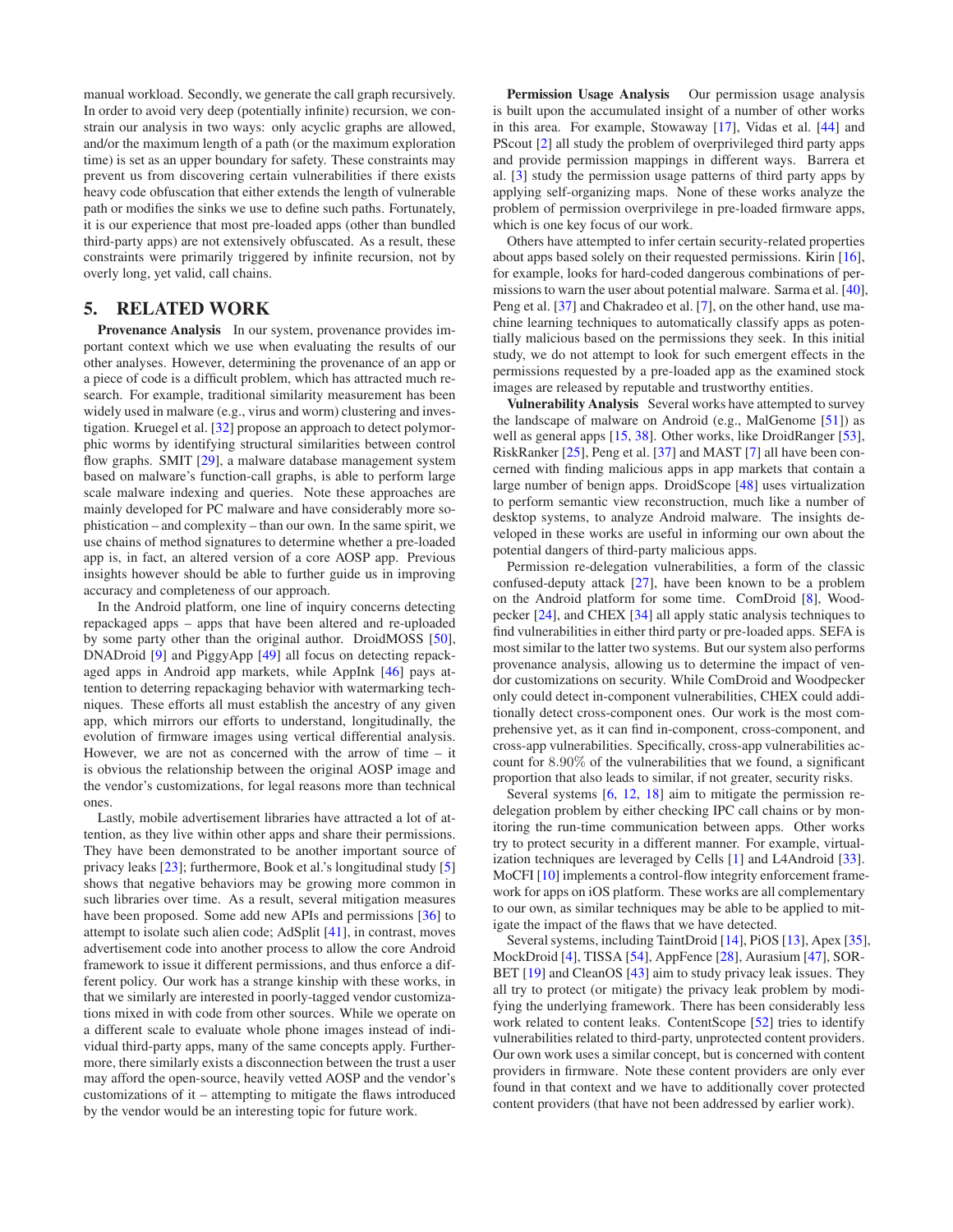manual workload. Secondly, we generate the call graph recursively. In order to avoid very deep (potentially infinite) recursion, we constrain our analysis in two ways: only acyclic graphs are allowed, and/or the maximum length of a path (or the maximum exploration time) is set as an upper boundary for safety. These constraints may prevent us from discovering certain vulnerabilities if there exists heavy code obfuscation that either extends the length of vulnerable path or modifies the sinks we use to define such paths. Fortunately, it is our experience that most pre-loaded apps (other than bundled third-party apps) are not extensively obfuscated. As a result, these constraints were primarily triggered by infinite recursion, not by overly long, yet valid, call chains.

# <span id="page-9-0"></span>5. RELATED WORK

Provenance Analysis In our system, provenance provides important context which we use when evaluating the results of our other analyses. However, determining the provenance of an app or a piece of code is a difficult problem, which has attracted much research. For example, traditional similarity measurement has been widely used in malware (e.g., virus and worm) clustering and investigation. Kruegel et al. [\[32\]](#page-11-8) propose an approach to detect polymorphic worms by identifying structural similarities between control flow graphs. SMIT [\[29\]](#page-10-4), a malware database management system based on malware's function-call graphs, is able to perform large scale malware indexing and queries. Note these approaches are mainly developed for PC malware and have considerably more sophistication – and complexity – than our own. In the same spirit, we use chains of method signatures to determine whether a pre-loaded app is, in fact, an altered version of a core AOSP app. Previous insights however should be able to further guide us in improving accuracy and completeness of our approach.

In the Android platform, one line of inquiry concerns detecting repackaged apps – apps that have been altered and re-uploaded by some party other than the original author. DroidMOSS [\[50\]](#page-11-9), DNADroid [\[9\]](#page-10-13) and PiggyApp [\[49\]](#page-11-10) all focus on detecting repackaged apps in Android app markets, while AppInk [\[46\]](#page-11-11) pays attention to deterring repackaging behavior with watermarking techniques. These efforts all must establish the ancestry of any given app, which mirrors our efforts to understand, longitudinally, the evolution of firmware images using vertical differential analysis. However, we are not as concerned with the arrow of time – it is obvious the relationship between the original AOSP image and the vendor's customizations, for legal reasons more than technical ones.

Lastly, mobile advertisement libraries have attracted a lot of attention, as they live within other apps and share their permissions. They have been demonstrated to be another important source of privacy leaks [\[23\]](#page-10-14); furthermore, Book et al.'s longitudinal study [\[5\]](#page-10-15) shows that negative behaviors may be growing more common in such libraries over time. As a result, several mitigation measures have been proposed. Some add new APIs and permissions [\[36\]](#page-11-12) to attempt to isolate such alien code; AdSplit [\[41\]](#page-11-13), in contrast, moves advertisement code into another process to allow the core Android framework to issue it different permissions, and thus enforce a different policy. Our work has a strange kinship with these works, in that we similarly are interested in poorly-tagged vendor customizations mixed in with code from other sources. While we operate on a different scale to evaluate whole phone images instead of individual third-party apps, many of the same concepts apply. Furthermore, there similarly exists a disconnection between the trust a user may afford the open-source, heavily vetted AOSP and the vendor's customizations of it – attempting to mitigate the flaws introduced by the vendor would be an interesting topic for future work.

Permission Usage Analysis Our permission usage analysis is built upon the accumulated insight of a number of other works in this area. For example, Stowaway [\[17\]](#page-10-12), Vidas et al. [\[44\]](#page-11-14) and PScout [\[2\]](#page-10-5) all study the problem of overprivileged third party apps and provide permission mappings in different ways. Barrera et al. [\[3\]](#page-10-16) study the permission usage patterns of third party apps by applying self-organizing maps. None of these works analyze the problem of permission overprivilege in pre-loaded firmware apps, which is one key focus of our work.

Others have attempted to infer certain security-related properties about apps based solely on their requested permissions. Kirin [\[16\]](#page-10-17), for example, looks for hard-coded dangerous combinations of permissions to warn the user about potential malware. Sarma et al. [\[40\]](#page-11-15), Peng et al. [\[37\]](#page-11-16) and Chakradeo et al. [\[7\]](#page-10-18), on the other hand, use machine learning techniques to automatically classify apps as potentially malicious based on the permissions they seek. In this initial study, we do not attempt to look for such emergent effects in the permissions requested by a pre-loaded app as the examined stock images are released by reputable and trustworthy entities.

Vulnerability Analysis Several works have attempted to survey the landscape of malware on Android (e.g., MalGenome [\[51\]](#page-11-17)) as well as general apps [\[15,](#page-10-19) [38\]](#page-11-18). Other works, like DroidRanger [\[53\]](#page-11-19), RiskRanker [\[25\]](#page-10-20), Peng et al. [\[37\]](#page-11-16) and MAST [\[7\]](#page-10-18) all have been concerned with finding malicious apps in app markets that contain a large number of benign apps. DroidScope [\[48\]](#page-11-20) uses virtualization to perform semantic view reconstruction, much like a number of desktop systems, to analyze Android malware. The insights developed in these works are useful in informing our own about the potential dangers of third-party malicious apps.

Permission re-delegation vulnerabilities, a form of the classic confused-deputy attack [\[27\]](#page-10-7), have been known to be a problem on the Android platform for some time. ComDroid [\[8\]](#page-10-21), Woodpecker [\[24\]](#page-10-2), and CHEX [\[34\]](#page-11-5) all apply static analysis techniques to find vulnerabilities in either third party or pre-loaded apps. SEFA is most similar to the latter two systems. But our system also performs provenance analysis, allowing us to determine the impact of vendor customizations on security. While ComDroid and Woodpecker only could detect in-component vulnerabilities, CHEX could additionally detect cross-component ones. Our work is the most comprehensive yet, as it can find in-component, cross-component, and cross-app vulnerabilities. Specifically, cross-app vulnerabilities account for 8.90% of the vulnerabilities that we found, a significant proportion that also leads to similar, if not greater, security risks.

Several systems [\[6,](#page-10-22) [12,](#page-10-23) [18\]](#page-10-6) aim to mitigate the permission redelegation problem by either checking IPC call chains or by monitoring the run-time communication between apps. Other works try to protect security in a different manner. For example, virtualization techniques are leveraged by Cells [\[1\]](#page-10-24) and L4Android [\[33\]](#page-11-21). MoCFI [\[10\]](#page-10-25) implements a control-flow integrity enforcement framework for apps on iOS platform. These works are all complementary to our own, as similar techniques may be able to be applied to mitigate the impact of the flaws that we have detected.

Several systems, including TaintDroid [\[14\]](#page-10-26), PiOS [\[13\]](#page-10-27), Apex [\[35\]](#page-11-22), MockDroid [\[4\]](#page-10-28), TISSA [\[54\]](#page-11-23), AppFence [\[28\]](#page-10-29), Aurasium [\[47\]](#page-11-24), SOR-BET [\[19\]](#page-10-30) and CleanOS [\[43\]](#page-11-25) aim to study privacy leak issues. They all try to protect (or mitigate) the privacy leak problem by modifying the underlying framework. There has been considerably less work related to content leaks. ContentScope [\[52\]](#page-11-2) tries to identify vulnerabilities related to third-party, unprotected content providers. Our own work uses a similar concept, but is concerned with content providers in firmware. Note these content providers are only ever found in that context and we have to additionally cover protected content providers (that have not been addressed by earlier work).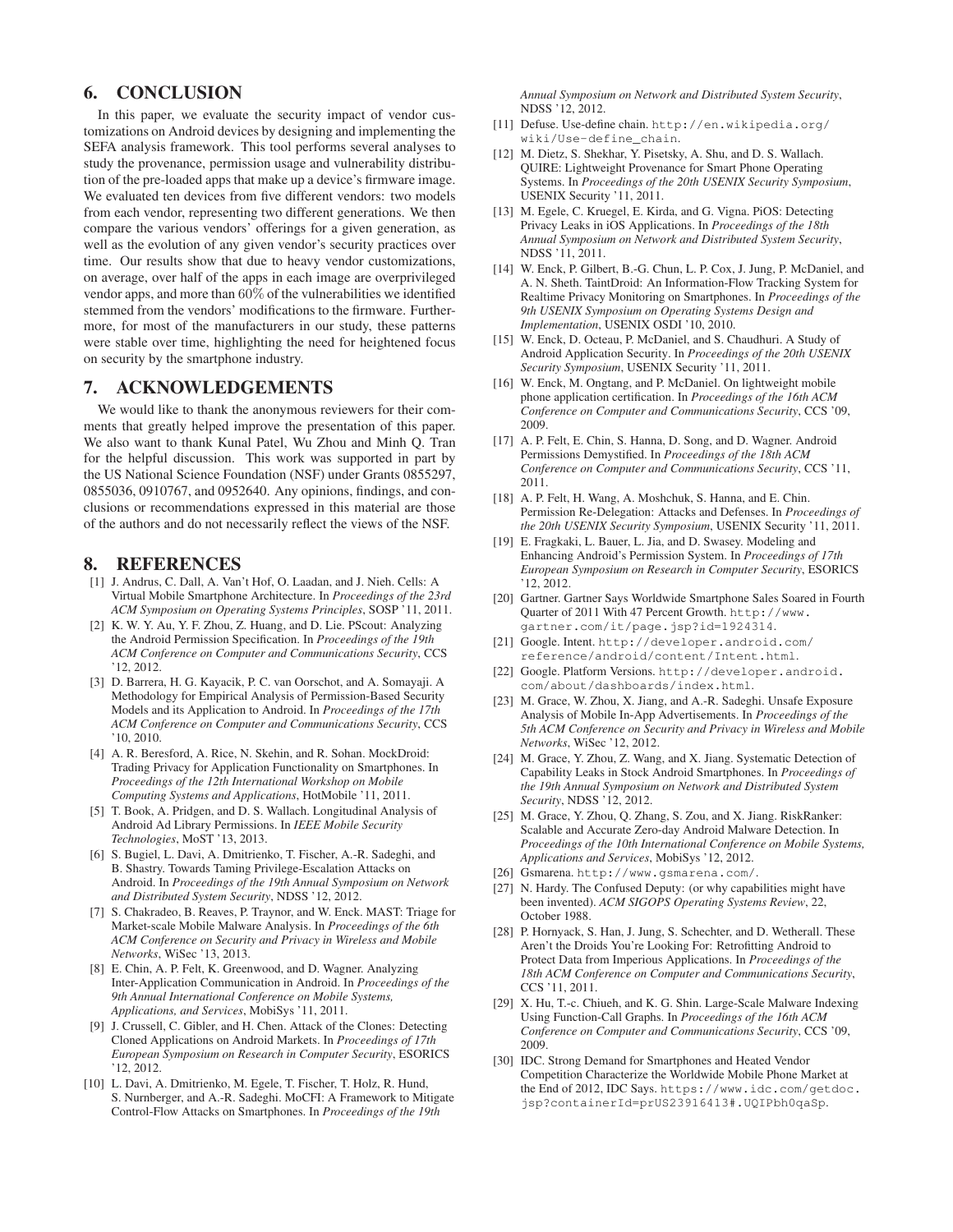## <span id="page-10-3"></span>6. CONCLUSION

In this paper, we evaluate the security impact of vendor customizations on Android devices by designing and implementing the SEFA analysis framework. This tool performs several analyses to study the provenance, permission usage and vulnerability distribution of the pre-loaded apps that make up a device's firmware image. We evaluated ten devices from five different vendors: two models from each vendor, representing two different generations. We then compare the various vendors' offerings for a given generation, as well as the evolution of any given vendor's security practices over time. Our results show that due to heavy vendor customizations, on average, over half of the apps in each image are overprivileged vendor apps, and more than 60% of the vulnerabilities we identified stemmed from the vendors' modifications to the firmware. Furthermore, for most of the manufacturers in our study, these patterns were stable over time, highlighting the need for heightened focus on security by the smartphone industry.

## 7. ACKNOWLEDGEMENTS

We would like to thank the anonymous reviewers for their comments that greatly helped improve the presentation of this paper. We also want to thank Kunal Patel, Wu Zhou and Minh Q. Tran for the helpful discussion. This work was supported in part by the US National Science Foundation (NSF) under Grants 0855297, 0855036, 0910767, and 0952640. Any opinions, findings, and conclusions or recommendations expressed in this material are those of the authors and do not necessarily reflect the views of the NSF.

#### <span id="page-10-24"></span>8. REFERENCES

- [1] J. Andrus, C. Dall, A. Van't Hof, O. Laadan, and J. Nieh. Cells: A Virtual Mobile Smartphone Architecture. In *Proceedings of the 23rd ACM Symposium on Operating Systems Principles*, SOSP '11, 2011.
- <span id="page-10-5"></span>[2] K. W. Y. Au, Y. F. Zhou, Z. Huang, and D. Lie. PScout: Analyzing the Android Permission Specification. In *Proceedings of the 19th ACM Conference on Computer and Communications Security*, CCS '12, 2012.
- <span id="page-10-16"></span>[3] D. Barrera, H. G. Kayacik, P. C. van Oorschot, and A. Somayaji. A Methodology for Empirical Analysis of Permission-Based Security Models and its Application to Android. In *Proceedings of the 17th ACM Conference on Computer and Communications Security*, CCS '10, 2010.
- <span id="page-10-28"></span>[4] A. R. Beresford, A. Rice, N. Skehin, and R. Sohan. MockDroid: Trading Privacy for Application Functionality on Smartphones. In *Proceedings of the 12th International Workshop on Mobile Computing Systems and Applications*, HotMobile '11, 2011.
- <span id="page-10-15"></span>[5] T. Book, A. Pridgen, and D. S. Wallach. Longitudinal Analysis of Android Ad Library Permissions. In *IEEE Mobile Security Technologies*, MoST '13, 2013.
- <span id="page-10-22"></span>[6] S. Bugiel, L. Davi, A. Dmitrienko, T. Fischer, A.-R. Sadeghi, and B. Shastry. Towards Taming Privilege-Escalation Attacks on Android. In *Proceedings of the 19th Annual Symposium on Network and Distributed System Security*, NDSS '12, 2012.
- <span id="page-10-18"></span>[7] S. Chakradeo, B. Reaves, P. Traynor, and W. Enck. MAST: Triage for Market-scale Mobile Malware Analysis. In *Proceedings of the 6th ACM Conference on Security and Privacy in Wireless and Mobile Networks*, WiSec '13, 2013.
- <span id="page-10-21"></span>[8] E. Chin, A. P. Felt, K. Greenwood, and D. Wagner. Analyzing Inter-Application Communication in Android. In *Proceedings of the 9th Annual International Conference on Mobile Systems, Applications, and Services*, MobiSys '11, 2011.
- <span id="page-10-13"></span>[9] J. Crussell, C. Gibler, and H. Chen. Attack of the Clones: Detecting Cloned Applications on Android Markets. In *Proceedings of 17th European Symposium on Research in Computer Security*, ESORICS '12, 2012.
- <span id="page-10-25"></span>[10] L. Davi, A. Dmitrienko, M. Egele, T. Fischer, T. Holz, R. Hund, S. Nurnberger, and A.-R. Sadeghi. MoCFI: A Framework to Mitigate Control-Flow Attacks on Smartphones. In *Proceedings of the 19th*

*Annual Symposium on Network and Distributed System Security*, NDSS '12, 2012.

- <span id="page-10-8"></span>[11] Defuse. Use-define chain. [http://en.wikipedia.org/](http://en.wikipedia.org/wiki/Use-define_chain) [wiki/Use-define\\_chain](http://en.wikipedia.org/wiki/Use-define_chain).
- <span id="page-10-23"></span>[12] M. Dietz, S. Shekhar, Y. Pisetsky, A. Shu, and D. S. Wallach. QUIRE: Lightweight Provenance for Smart Phone Operating Systems. In *Proceedings of the 20th USENIX Security Symposium*, USENIX Security '11, 2011.
- <span id="page-10-27"></span>[13] M. Egele, C. Kruegel, E. Kirda, and G. Vigna. PiOS: Detecting Privacy Leaks in iOS Applications. In *Proceedings of the 18th Annual Symposium on Network and Distributed System Security*, NDSS '11, 2011.
- <span id="page-10-26"></span>[14] W. Enck, P. Gilbert, B.-G. Chun, L. P. Cox, J. Jung, P. McDaniel, and A. N. Sheth. TaintDroid: An Information-Flow Tracking System for Realtime Privacy Monitoring on Smartphones. In *Proceedings of the 9th USENIX Symposium on Operating Systems Design and Implementation*, USENIX OSDI '10, 2010.
- <span id="page-10-19"></span>[15] W. Enck, D. Octeau, P. McDaniel, and S. Chaudhuri. A Study of Android Application Security. In *Proceedings of the 20th USENIX Security Symposium*, USENIX Security '11, 2011.
- <span id="page-10-17"></span>[16] W. Enck, M. Ongtang, and P. McDaniel. On lightweight mobile phone application certification. In *Proceedings of the 16th ACM Conference on Computer and Communications Security*, CCS '09, 2009.
- <span id="page-10-12"></span>[17] A. P. Felt, E. Chin, S. Hanna, D. Song, and D. Wagner. Android Permissions Demystified. In *Proceedings of the 18th ACM Conference on Computer and Communications Security*, CCS '11, 2011.
- <span id="page-10-6"></span>[18] A. P. Felt, H. Wang, A. Moshchuk, S. Hanna, and E. Chin. Permission Re-Delegation: Attacks and Defenses. In *Proceedings of the 20th USENIX Security Symposium*, USENIX Security '11, 2011.
- <span id="page-10-30"></span>[19] E. Fragkaki, L. Bauer, L. Jia, and D. Swasey. Modeling and Enhancing Android's Permission System. In *Proceedings of 17th European Symposium on Research in Computer Security*, ESORICS '12, 2012.
- <span id="page-10-1"></span>[20] Gartner. Gartner Says Worldwide Smartphone Sales Soared in Fourth Quarter of 2011 With 47 Percent Growth. [http://www.](http://www.gartner.com/it/page.jsp?id=1924314) [gartner.com/it/page.jsp?id=1924314](http://www.gartner.com/it/page.jsp?id=1924314).
- <span id="page-10-9"></span>[21] Google. Intent. [http://developer.android.com/](http://developer.android.com/reference/android/content/Intent.html) [reference/android/content/Intent.html](http://developer.android.com/reference/android/content/Intent.html).
- <span id="page-10-11"></span>[22] Google. Platform Versions. [http://developer.android.](http://developer.android.com/about/dashboards/index.html) [com/about/dashboards/index.html](http://developer.android.com/about/dashboards/index.html).
- <span id="page-10-14"></span>[23] M. Grace, W. Zhou, X. Jiang, and A.-R. Sadeghi. Unsafe Exposure Analysis of Mobile In-App Advertisements. In *Proceedings of the 5th ACM Conference on Security and Privacy in Wireless and Mobile Networks*, WiSec '12, 2012.
- <span id="page-10-2"></span>[24] M. Grace, Y. Zhou, Z. Wang, and X. Jiang. Systematic Detection of Capability Leaks in Stock Android Smartphones. In *Proceedings of the 19th Annual Symposium on Network and Distributed System Security*, NDSS '12, 2012.
- <span id="page-10-20"></span>[25] M. Grace, Y. Zhou, Q. Zhang, S. Zou, and X. Jiang. RiskRanker: Scalable and Accurate Zero-day Android Malware Detection. In *Proceedings of the 10th International Conference on Mobile Systems, Applications and Services*, MobiSys '12, 2012.
- <span id="page-10-10"></span><span id="page-10-7"></span>[26] Gsmarena. <http://www.gsmarena.com/>.
- [27] N. Hardy. The Confused Deputy: (or why capabilities might have been invented). *ACM SIGOPS Operating Systems Review*, 22, October 1988.
- <span id="page-10-29"></span>[28] P. Hornyack, S. Han, J. Jung, S. Schechter, and D. Wetherall. These Aren't the Droids You're Looking For: Retrofitting Android to Protect Data from Imperious Applications. In *Proceedings of the 18th ACM Conference on Computer and Communications Security*, CCS '11, 2011.
- <span id="page-10-4"></span>[29] X. Hu, T.-c. Chiueh, and K. G. Shin. Large-Scale Malware Indexing Using Function-Call Graphs. In *Proceedings of the 16th ACM Conference on Computer and Communications Security*, CCS '09, 2009.
- <span id="page-10-0"></span>[30] IDC. Strong Demand for Smartphones and Heated Vendor Competition Characterize the Worldwide Mobile Phone Market at the End of 2012, IDC Says. [https://www.idc.com/getdoc.](https://www.idc.com/getdoc.jsp?containerId=prUS23916413#.UQIPbh0qaSp) [jsp?containerId=prUS23916413#.UQIPbh0qaSp](https://www.idc.com/getdoc.jsp?containerId=prUS23916413#.UQIPbh0qaSp).